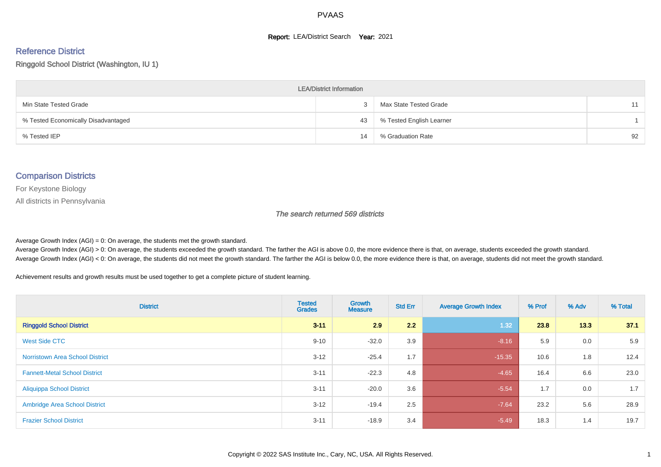#### **Report: LEA/District Search Year: 2021**

# Reference District

#### Ringgold School District (Washington, IU 1)

| <b>LEA/District Information</b>     |    |                          |    |  |  |  |  |  |  |  |
|-------------------------------------|----|--------------------------|----|--|--|--|--|--|--|--|
| Min State Tested Grade              |    | Max State Tested Grade   | 11 |  |  |  |  |  |  |  |
| % Tested Economically Disadvantaged | 43 | % Tested English Learner |    |  |  |  |  |  |  |  |
| % Tested IEP                        | 14 | % Graduation Rate        | 92 |  |  |  |  |  |  |  |

#### Comparison Districts

For Keystone Biology

All districts in Pennsylvania

The search returned 569 districts

Average Growth Index  $(AGI) = 0$ : On average, the students met the growth standard.

Average Growth Index (AGI) > 0: On average, the students exceeded the growth standard. The farther the AGI is above 0.0, the more evidence there is that, on average, students exceeded the growth standard. Average Growth Index (AGI) < 0: On average, the students did not meet the growth standard. The farther the AGI is below 0.0, the more evidence there is that, on average, students did not meet the growth standard.

Achievement results and growth results must be used together to get a complete picture of student learning.

| <b>District</b>                        | <b>Tested</b><br><b>Grades</b> | Growth<br><b>Measure</b> | <b>Std Err</b> | <b>Average Growth Index</b> | % Prof | % Adv | % Total |
|----------------------------------------|--------------------------------|--------------------------|----------------|-----------------------------|--------|-------|---------|
| <b>Ringgold School District</b>        | $3 - 11$                       | 2.9                      | 2.2            | 1.32                        | 23.8   | 13.3  | 37.1    |
| West Side CTC                          | $9 - 10$                       | $-32.0$                  | 3.9            | $-8.16$                     | 5.9    | 0.0   | 5.9     |
| <b>Norristown Area School District</b> | $3 - 12$                       | $-25.4$                  | 1.7            | $-15.35$                    | 10.6   | 1.8   | 12.4    |
| <b>Fannett-Metal School District</b>   | $3 - 11$                       | $-22.3$                  | 4.8            | $-4.65$                     | 16.4   | 6.6   | 23.0    |
| <b>Aliquippa School District</b>       | $3 - 11$                       | $-20.0$                  | 3.6            | $-5.54$                     | 1.7    | 0.0   | 1.7     |
| <b>Ambridge Area School District</b>   | $3 - 12$                       | $-19.4$                  | 2.5            | $-7.64$                     | 23.2   | 5.6   | 28.9    |
| <b>Frazier School District</b>         | $3 - 11$                       | $-18.9$                  | 3.4            | $-5.49$                     | 18.3   | 1.4   | 19.7    |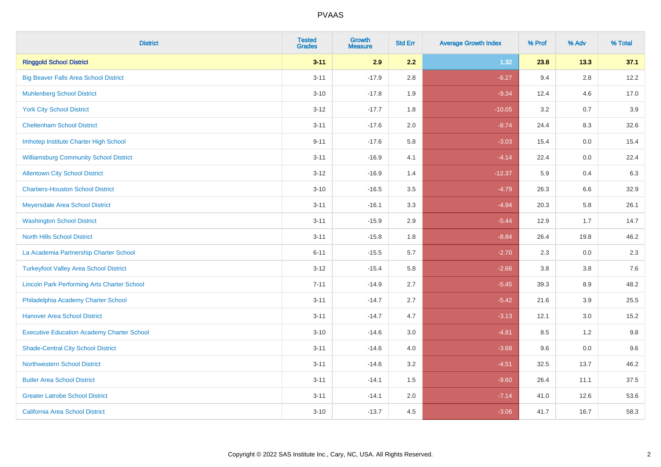| <b>District</b>                                    | <b>Tested</b><br><b>Grades</b> | Growth<br><b>Measure</b> | <b>Std Err</b> | <b>Average Growth Index</b> | % Prof | % Adv   | % Total |
|----------------------------------------------------|--------------------------------|--------------------------|----------------|-----------------------------|--------|---------|---------|
| <b>Ringgold School District</b>                    | $3 - 11$                       | 2.9                      | 2.2            | 1.32                        | 23.8   | 13.3    | 37.1    |
| <b>Big Beaver Falls Area School District</b>       | $3 - 11$                       | $-17.9$                  | 2.8            | $-6.27$                     | 9.4    | 2.8     | 12.2    |
| <b>Muhlenberg School District</b>                  | $3 - 10$                       | $-17.8$                  | 1.9            | $-9.34$                     | 12.4   | 4.6     | 17.0    |
| <b>York City School District</b>                   | $3 - 12$                       | $-17.7$                  | 1.8            | $-10.05$                    | 3.2    | 0.7     | 3.9     |
| <b>Cheltenham School District</b>                  | $3 - 11$                       | $-17.6$                  | 2.0            | $-8.74$                     | 24.4   | 8.3     | 32.6    |
| Imhotep Institute Charter High School              | $9 - 11$                       | $-17.6$                  | 5.8            | $-3.03$                     | 15.4   | 0.0     | 15.4    |
| <b>Williamsburg Community School District</b>      | $3 - 11$                       | $-16.9$                  | 4.1            | $-4.14$                     | 22.4   | $0.0\,$ | 22.4    |
| <b>Allentown City School District</b>              | $3 - 12$                       | $-16.9$                  | 1.4            | $-12.37$                    | 5.9    | 0.4     | 6.3     |
| <b>Chartiers-Houston School District</b>           | $3 - 10$                       | $-16.5$                  | 3.5            | $-4.79$                     | 26.3   | 6.6     | 32.9    |
| Meyersdale Area School District                    | $3 - 11$                       | $-16.1$                  | 3.3            | $-4.94$                     | 20.3   | 5.8     | 26.1    |
| <b>Washington School District</b>                  | $3 - 11$                       | $-15.9$                  | 2.9            | $-5.44$                     | 12.9   | 1.7     | 14.7    |
| <b>North Hills School District</b>                 | $3 - 11$                       | $-15.8$                  | 1.8            | $-8.84$                     | 26.4   | 19.8    | 46.2    |
| La Academia Partnership Charter School             | $6 - 11$                       | $-15.5$                  | 5.7            | $-2.70$                     | 2.3    | 0.0     | 2.3     |
| <b>Turkeyfoot Valley Area School District</b>      | $3 - 12$                       | $-15.4$                  | 5.8            | $-2.66$                     | 3.8    | $3.8\,$ | 7.6     |
| <b>Lincoln Park Performing Arts Charter School</b> | $7 - 11$                       | $-14.9$                  | 2.7            | $-5.45$                     | 39.3   | 8.9     | 48.2    |
| Philadelphia Academy Charter School                | $3 - 11$                       | $-14.7$                  | 2.7            | $-5.42$                     | 21.6   | 3.9     | 25.5    |
| <b>Hanover Area School District</b>                | $3 - 11$                       | $-14.7$                  | 4.7            | $-3.13$                     | 12.1   | 3.0     | 15.2    |
| <b>Executive Education Academy Charter School</b>  | $3 - 10$                       | $-14.6$                  | 3.0            | $-4.81$                     | 8.5    | 1.2     | 9.8     |
| <b>Shade-Central City School District</b>          | $3 - 11$                       | $-14.6$                  | 4.0            | $-3.68$                     | 9.6    | 0.0     | 9.6     |
| <b>Northwestern School District</b>                | $3 - 11$                       | $-14.6$                  | 3.2            | $-4.51$                     | 32.5   | 13.7    | 46.2    |
| <b>Butler Area School District</b>                 | $3 - 11$                       | $-14.1$                  | 1.5            | $-9.60$                     | 26.4   | 11.1    | 37.5    |
| <b>Greater Latrobe School District</b>             | $3 - 11$                       | $-14.1$                  | 2.0            | $-7.14$                     | 41.0   | 12.6    | 53.6    |
| <b>California Area School District</b>             | $3 - 10$                       | $-13.7$                  | 4.5            | $-3.06$                     | 41.7   | 16.7    | 58.3    |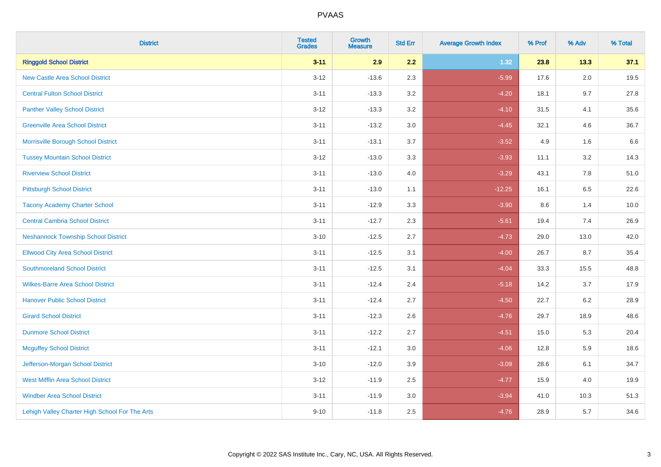| <b>District</b>                                | <b>Tested</b><br><b>Grades</b> | <b>Growth</b><br><b>Measure</b> | <b>Std Err</b> | <b>Average Growth Index</b> | % Prof | % Adv   | % Total |
|------------------------------------------------|--------------------------------|---------------------------------|----------------|-----------------------------|--------|---------|---------|
| <b>Ringgold School District</b>                | $3 - 11$                       | 2.9                             | 2.2            | 1.32                        | 23.8   | 13.3    | 37.1    |
| <b>New Castle Area School District</b>         | $3 - 12$                       | $-13.6$                         | 2.3            | $-5.99$                     | 17.6   | $2.0\,$ | 19.5    |
| <b>Central Fulton School District</b>          | $3 - 11$                       | $-13.3$                         | 3.2            | $-4.20$                     | 18.1   | 9.7     | 27.8    |
| <b>Panther Valley School District</b>          | $3 - 12$                       | $-13.3$                         | 3.2            | $-4.10$                     | 31.5   | 4.1     | 35.6    |
| <b>Greenville Area School District</b>         | $3 - 11$                       | $-13.2$                         | 3.0            | $-4.45$                     | 32.1   | 4.6     | 36.7    |
| Morrisville Borough School District            | $3 - 11$                       | $-13.1$                         | 3.7            | $-3.52$                     | 4.9    | 1.6     | 6.6     |
| <b>Tussey Mountain School District</b>         | $3 - 12$                       | $-13.0$                         | 3.3            | $-3.93$                     | 11.1   | 3.2     | 14.3    |
| <b>Riverview School District</b>               | $3 - 11$                       | $-13.0$                         | 4.0            | $-3.29$                     | 43.1   | 7.8     | 51.0    |
| <b>Pittsburgh School District</b>              | $3 - 11$                       | $-13.0$                         | 1.1            | $-12.25$                    | 16.1   | 6.5     | 22.6    |
| <b>Tacony Academy Charter School</b>           | $3 - 11$                       | $-12.9$                         | 3.3            | $-3.90$                     | 8.6    | 1.4     | 10.0    |
| <b>Central Cambria School District</b>         | $3 - 11$                       | $-12.7$                         | 2.3            | $-5.61$                     | 19.4   | 7.4     | 26.9    |
| <b>Neshannock Township School District</b>     | $3 - 10$                       | $-12.5$                         | 2.7            | $-4.73$                     | 29.0   | 13.0    | 42.0    |
| <b>Ellwood City Area School District</b>       | $3 - 11$                       | $-12.5$                         | 3.1            | $-4.00$                     | 26.7   | 8.7     | 35.4    |
| <b>Southmoreland School District</b>           | $3 - 11$                       | $-12.5$                         | 3.1            | $-4.04$                     | 33.3   | 15.5    | 48.8    |
| <b>Wilkes-Barre Area School District</b>       | $3 - 11$                       | $-12.4$                         | 2.4            | $-5.18$                     | 14.2   | 3.7     | 17.9    |
| <b>Hanover Public School District</b>          | $3 - 11$                       | $-12.4$                         | 2.7            | $-4.50$                     | 22.7   | $6.2\,$ | 28.9    |
| <b>Girard School District</b>                  | $3 - 11$                       | $-12.3$                         | 2.6            | $-4.76$                     | 29.7   | 18.9    | 48.6    |
| <b>Dunmore School District</b>                 | $3 - 11$                       | $-12.2$                         | 2.7            | $-4.51$                     | 15.0   | 5.3     | 20.4    |
| <b>Mcguffey School District</b>                | $3 - 11$                       | $-12.1$                         | 3.0            | $-4.06$                     | 12.8   | 5.9     | 18.6    |
| Jefferson-Morgan School District               | $3 - 10$                       | $-12.0$                         | 3.9            | $-3.09$                     | 28.6   | 6.1     | 34.7    |
| <b>West Mifflin Area School District</b>       | $3 - 12$                       | $-11.9$                         | 2.5            | $-4.77$                     | 15.9   | 4.0     | 19.9    |
| <b>Windber Area School District</b>            | $3 - 11$                       | $-11.9$                         | 3.0            | $-3.94$                     | 41.0   | 10.3    | 51.3    |
| Lehigh Valley Charter High School For The Arts | $9 - 10$                       | $-11.8$                         | 2.5            | $-4.76$                     | 28.9   | 5.7     | 34.6    |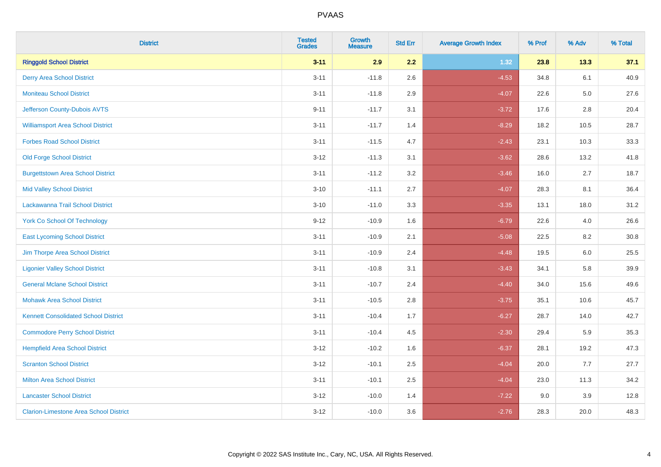| <b>District</b>                               | <b>Tested</b><br><b>Grades</b> | <b>Growth</b><br><b>Measure</b> | <b>Std Err</b> | <b>Average Growth Index</b> | % Prof | % Adv   | % Total |
|-----------------------------------------------|--------------------------------|---------------------------------|----------------|-----------------------------|--------|---------|---------|
| <b>Ringgold School District</b>               | $3 - 11$                       | 2.9                             | 2.2            | 1.32                        | 23.8   | 13.3    | 37.1    |
| <b>Derry Area School District</b>             | $3 - 11$                       | $-11.8$                         | 2.6            | $-4.53$                     | 34.8   | 6.1     | 40.9    |
| <b>Moniteau School District</b>               | $3 - 11$                       | $-11.8$                         | 2.9            | $-4.07$                     | 22.6   | $5.0\,$ | 27.6    |
| Jefferson County-Dubois AVTS                  | $9 - 11$                       | $-11.7$                         | 3.1            | $-3.72$                     | 17.6   | 2.8     | 20.4    |
| <b>Williamsport Area School District</b>      | $3 - 11$                       | $-11.7$                         | 1.4            | $-8.29$                     | 18.2   | 10.5    | 28.7    |
| <b>Forbes Road School District</b>            | $3 - 11$                       | $-11.5$                         | 4.7            | $-2.43$                     | 23.1   | 10.3    | 33.3    |
| <b>Old Forge School District</b>              | $3 - 12$                       | $-11.3$                         | 3.1            | $-3.62$                     | 28.6   | 13.2    | 41.8    |
| <b>Burgettstown Area School District</b>      | $3 - 11$                       | $-11.2$                         | 3.2            | $-3.46$                     | 16.0   | 2.7     | 18.7    |
| <b>Mid Valley School District</b>             | $3 - 10$                       | $-11.1$                         | 2.7            | $-4.07$                     | 28.3   | 8.1     | 36.4    |
| Lackawanna Trail School District              | $3 - 10$                       | $-11.0$                         | 3.3            | $-3.35$                     | 13.1   | 18.0    | 31.2    |
| <b>York Co School Of Technology</b>           | $9 - 12$                       | $-10.9$                         | 1.6            | $-6.79$                     | 22.6   | 4.0     | 26.6    |
| <b>East Lycoming School District</b>          | $3 - 11$                       | $-10.9$                         | 2.1            | $-5.08$                     | 22.5   | 8.2     | 30.8    |
| Jim Thorpe Area School District               | $3 - 11$                       | $-10.9$                         | 2.4            | $-4.48$                     | 19.5   | 6.0     | 25.5    |
| <b>Ligonier Valley School District</b>        | $3 - 11$                       | $-10.8$                         | 3.1            | $-3.43$                     | 34.1   | 5.8     | 39.9    |
| <b>General Mclane School District</b>         | $3 - 11$                       | $-10.7$                         | 2.4            | $-4.40$                     | 34.0   | 15.6    | 49.6    |
| <b>Mohawk Area School District</b>            | $3 - 11$                       | $-10.5$                         | 2.8            | $-3.75$                     | 35.1   | 10.6    | 45.7    |
| <b>Kennett Consolidated School District</b>   | $3 - 11$                       | $-10.4$                         | 1.7            | $-6.27$                     | 28.7   | 14.0    | 42.7    |
| <b>Commodore Perry School District</b>        | $3 - 11$                       | $-10.4$                         | 4.5            | $-2.30$                     | 29.4   | 5.9     | 35.3    |
| <b>Hempfield Area School District</b>         | $3 - 12$                       | $-10.2$                         | 1.6            | $-6.37$                     | 28.1   | 19.2    | 47.3    |
| <b>Scranton School District</b>               | $3 - 12$                       | $-10.1$                         | 2.5            | $-4.04$                     | 20.0   | 7.7     | 27.7    |
| <b>Milton Area School District</b>            | $3 - 11$                       | $-10.1$                         | 2.5            | $-4.04$                     | 23.0   | 11.3    | 34.2    |
| <b>Lancaster School District</b>              | $3 - 12$                       | $-10.0$                         | 1.4            | $-7.22$                     | 9.0    | 3.9     | 12.8    |
| <b>Clarion-Limestone Area School District</b> | $3 - 12$                       | $-10.0$                         | 3.6            | $-2.76$                     | 28.3   | 20.0    | 48.3    |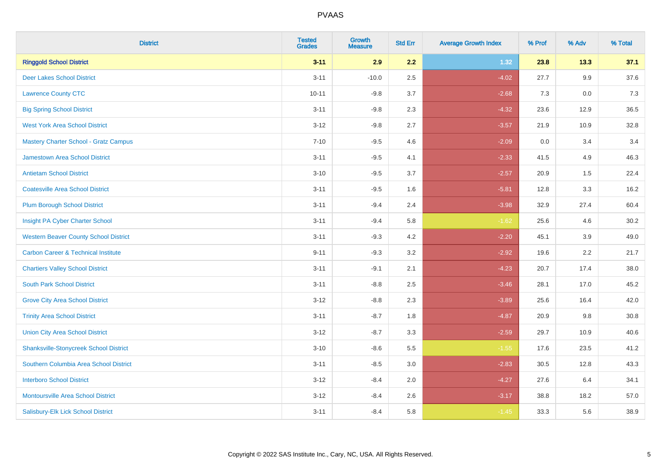| <b>District</b>                                | <b>Tested</b><br><b>Grades</b> | Growth<br><b>Measure</b> | <b>Std Err</b> | <b>Average Growth Index</b> | % Prof | % Adv   | % Total |
|------------------------------------------------|--------------------------------|--------------------------|----------------|-----------------------------|--------|---------|---------|
| <b>Ringgold School District</b>                | $3 - 11$                       | 2.9                      | 2.2            | 1.32                        | 23.8   | 13.3    | 37.1    |
| <b>Deer Lakes School District</b>              | $3 - 11$                       | $-10.0$                  | 2.5            | $-4.02$                     | 27.7   | $9.9\,$ | 37.6    |
| <b>Lawrence County CTC</b>                     | $10 - 11$                      | $-9.8$                   | 3.7            | $-2.68$                     | 7.3    | 0.0     | 7.3     |
| <b>Big Spring School District</b>              | $3 - 11$                       | $-9.8$                   | 2.3            | $-4.32$                     | 23.6   | 12.9    | 36.5    |
| <b>West York Area School District</b>          | $3 - 12$                       | $-9.8$                   | 2.7            | $-3.57$                     | 21.9   | 10.9    | 32.8    |
| <b>Mastery Charter School - Gratz Campus</b>   | $7 - 10$                       | $-9.5$                   | 4.6            | $-2.09$                     | 0.0    | 3.4     | 3.4     |
| Jamestown Area School District                 | $3 - 11$                       | $-9.5$                   | 4.1            | $-2.33$                     | 41.5   | 4.9     | 46.3    |
| <b>Antietam School District</b>                | $3 - 10$                       | $-9.5$                   | 3.7            | $-2.57$                     | 20.9   | 1.5     | 22.4    |
| <b>Coatesville Area School District</b>        | $3 - 11$                       | $-9.5$                   | 1.6            | $-5.81$                     | 12.8   | 3.3     | 16.2    |
| <b>Plum Borough School District</b>            | $3 - 11$                       | $-9.4$                   | 2.4            | $-3.98$                     | 32.9   | 27.4    | 60.4    |
| Insight PA Cyber Charter School                | $3 - 11$                       | $-9.4$                   | 5.8            | $-1.62$                     | 25.6   | 4.6     | 30.2    |
| <b>Western Beaver County School District</b>   | $3 - 11$                       | $-9.3$                   | 4.2            | $-2.20$                     | 45.1   | 3.9     | 49.0    |
| <b>Carbon Career &amp; Technical Institute</b> | $9 - 11$                       | $-9.3$                   | 3.2            | $-2.92$                     | 19.6   | 2.2     | 21.7    |
| <b>Chartiers Valley School District</b>        | $3 - 11$                       | $-9.1$                   | 2.1            | $-4.23$                     | 20.7   | 17.4    | 38.0    |
| <b>South Park School District</b>              | $3 - 11$                       | $-8.8$                   | 2.5            | $-3.46$                     | 28.1   | 17.0    | 45.2    |
| <b>Grove City Area School District</b>         | $3 - 12$                       | $-8.8$                   | 2.3            | $-3.89$                     | 25.6   | 16.4    | 42.0    |
| <b>Trinity Area School District</b>            | $3 - 11$                       | $-8.7$                   | 1.8            | $-4.87$                     | 20.9   | 9.8     | 30.8    |
| <b>Union City Area School District</b>         | $3 - 12$                       | $-8.7$                   | 3.3            | $-2.59$                     | 29.7   | 10.9    | 40.6    |
| <b>Shanksville-Stonycreek School District</b>  | $3 - 10$                       | $-8.6$                   | 5.5            | $-1.55$                     | 17.6   | 23.5    | 41.2    |
| Southern Columbia Area School District         | $3 - 11$                       | $-8.5$                   | 3.0            | $-2.83$                     | 30.5   | 12.8    | 43.3    |
| <b>Interboro School District</b>               | $3 - 12$                       | $-8.4$                   | 2.0            | $-4.27$                     | 27.6   | 6.4     | 34.1    |
| <b>Montoursville Area School District</b>      | $3 - 12$                       | $-8.4$                   | 2.6            | $-3.17$                     | 38.8   | 18.2    | 57.0    |
| Salisbury-Elk Lick School District             | $3 - 11$                       | $-8.4$                   | 5.8            | $-1.45$                     | 33.3   | 5.6     | 38.9    |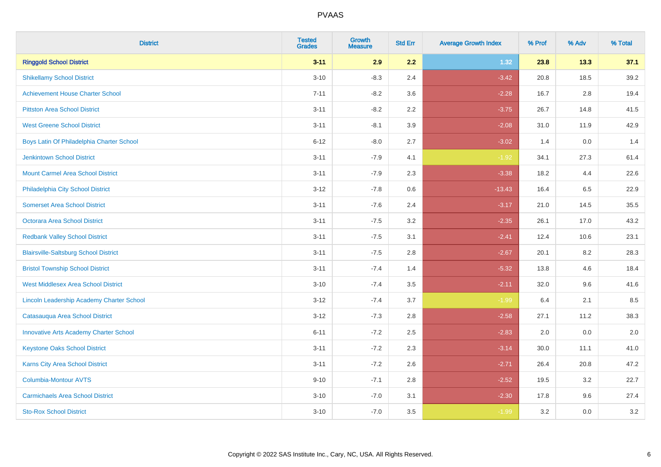| <b>District</b>                               | <b>Tested</b><br><b>Grades</b> | <b>Growth</b><br><b>Measure</b> | <b>Std Err</b> | <b>Average Growth Index</b> | % Prof | % Adv   | % Total |
|-----------------------------------------------|--------------------------------|---------------------------------|----------------|-----------------------------|--------|---------|---------|
| <b>Ringgold School District</b>               | $3 - 11$                       | 2.9                             | 2.2            | 1.32                        | 23.8   | 13.3    | 37.1    |
| <b>Shikellamy School District</b>             | $3 - 10$                       | $-8.3$                          | 2.4            | $-3.42$                     | 20.8   | 18.5    | 39.2    |
| <b>Achievement House Charter School</b>       | $7 - 11$                       | $-8.2$                          | 3.6            | $-2.28$                     | 16.7   | 2.8     | 19.4    |
| <b>Pittston Area School District</b>          | $3 - 11$                       | $-8.2$                          | 2.2            | $-3.75$                     | 26.7   | 14.8    | 41.5    |
| <b>West Greene School District</b>            | $3 - 11$                       | $-8.1$                          | 3.9            | $-2.08$                     | 31.0   | 11.9    | 42.9    |
| Boys Latin Of Philadelphia Charter School     | $6 - 12$                       | $-8.0$                          | 2.7            | $-3.02$                     | 1.4    | 0.0     | 1.4     |
| <b>Jenkintown School District</b>             | $3 - 11$                       | $-7.9$                          | 4.1            | $-1.92$                     | 34.1   | 27.3    | 61.4    |
| <b>Mount Carmel Area School District</b>      | $3 - 11$                       | $-7.9$                          | 2.3            | $-3.38$                     | 18.2   | 4.4     | 22.6    |
| Philadelphia City School District             | $3 - 12$                       | $-7.8$                          | 0.6            | $-13.43$                    | 16.4   | 6.5     | 22.9    |
| <b>Somerset Area School District</b>          | $3 - 11$                       | $-7.6$                          | 2.4            | $-3.17$                     | 21.0   | 14.5    | 35.5    |
| <b>Octorara Area School District</b>          | $3 - 11$                       | $-7.5$                          | 3.2            | $-2.35$                     | 26.1   | 17.0    | 43.2    |
| <b>Redbank Valley School District</b>         | $3 - 11$                       | $-7.5$                          | 3.1            | $-2.41$                     | 12.4   | 10.6    | 23.1    |
| <b>Blairsville-Saltsburg School District</b>  | $3 - 11$                       | $-7.5$                          | 2.8            | $-2.67$                     | 20.1   | $8.2\,$ | 28.3    |
| <b>Bristol Township School District</b>       | $3 - 11$                       | $-7.4$                          | 1.4            | $-5.32$                     | 13.8   | 4.6     | 18.4    |
| <b>West Middlesex Area School District</b>    | $3 - 10$                       | $-7.4$                          | 3.5            | $-2.11$                     | 32.0   | 9.6     | 41.6    |
| Lincoln Leadership Academy Charter School     | $3 - 12$                       | $-7.4$                          | 3.7            | $-1.99$                     | 6.4    | 2.1     | 8.5     |
| Catasauqua Area School District               | $3 - 12$                       | $-7.3$                          | 2.8            | $-2.58$                     | 27.1   | 11.2    | 38.3    |
| <b>Innovative Arts Academy Charter School</b> | $6 - 11$                       | $-7.2$                          | 2.5            | $-2.83$                     | 2.0    | 0.0     | 2.0     |
| <b>Keystone Oaks School District</b>          | $3 - 11$                       | $-7.2$                          | 2.3            | $-3.14$                     | 30.0   | 11.1    | 41.0    |
| Karns City Area School District               | $3 - 11$                       | $-7.2$                          | 2.6            | $-2.71$                     | 26.4   | 20.8    | 47.2    |
| <b>Columbia-Montour AVTS</b>                  | $9 - 10$                       | $-7.1$                          | 2.8            | $-2.52$                     | 19.5   | 3.2     | 22.7    |
| <b>Carmichaels Area School District</b>       | $3 - 10$                       | $-7.0$                          | 3.1            | $-2.30$                     | 17.8   | 9.6     | 27.4    |
| <b>Sto-Rox School District</b>                | $3 - 10$                       | $-7.0$                          | 3.5            | $-1.99$                     | 3.2    | 0.0     | 3.2     |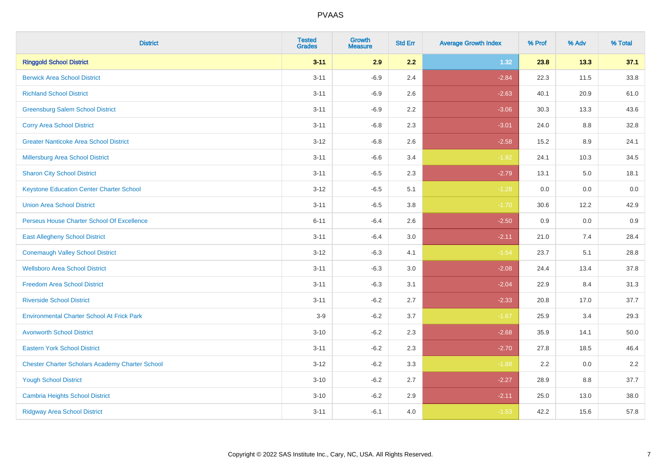| <b>District</b>                                        | <b>Tested</b><br><b>Grades</b> | <b>Growth</b><br><b>Measure</b> | <b>Std Err</b> | <b>Average Growth Index</b> | % Prof | % Adv   | % Total  |
|--------------------------------------------------------|--------------------------------|---------------------------------|----------------|-----------------------------|--------|---------|----------|
| <b>Ringgold School District</b>                        | $3 - 11$                       | 2.9                             | 2.2            | 1.32                        | 23.8   | 13.3    | 37.1     |
| <b>Berwick Area School District</b>                    | $3 - 11$                       | $-6.9$                          | 2.4            | $-2.84$                     | 22.3   | 11.5    | 33.8     |
| <b>Richland School District</b>                        | $3 - 11$                       | $-6.9$                          | 2.6            | $-2.63$                     | 40.1   | 20.9    | 61.0     |
| <b>Greensburg Salem School District</b>                | $3 - 11$                       | $-6.9$                          | 2.2            | $-3.06$                     | 30.3   | 13.3    | 43.6     |
| <b>Corry Area School District</b>                      | $3 - 11$                       | $-6.8$                          | 2.3            | $-3.01$                     | 24.0   | 8.8     | 32.8     |
| <b>Greater Nanticoke Area School District</b>          | $3 - 12$                       | $-6.8$                          | 2.6            | $-2.58$                     | 15.2   | $8.9\,$ | 24.1     |
| Millersburg Area School District                       | $3 - 11$                       | $-6.6$                          | 3.4            | $-1.92$                     | 24.1   | 10.3    | 34.5     |
| <b>Sharon City School District</b>                     | $3 - 11$                       | $-6.5$                          | 2.3            | $-2.79$                     | 13.1   | 5.0     | 18.1     |
| <b>Keystone Education Center Charter School</b>        | $3 - 12$                       | $-6.5$                          | 5.1            | $-1.28$                     | 0.0    | 0.0     | $0.0\,$  |
| <b>Union Area School District</b>                      | $3 - 11$                       | $-6.5$                          | 3.8            | $-1.70$                     | 30.6   | 12.2    | 42.9     |
| Perseus House Charter School Of Excellence             | $6 - 11$                       | $-6.4$                          | 2.6            | $-2.50$                     | 0.9    | 0.0     | 0.9      |
| <b>East Allegheny School District</b>                  | $3 - 11$                       | $-6.4$                          | 3.0            | $-2.11$                     | 21.0   | 7.4     | 28.4     |
| <b>Conemaugh Valley School District</b>                | $3 - 12$                       | $-6.3$                          | 4.1            | $-1.54$                     | 23.7   | 5.1     | 28.8     |
| <b>Wellsboro Area School District</b>                  | $3 - 11$                       | $-6.3$                          | 3.0            | $-2.08$                     | 24.4   | 13.4    | 37.8     |
| <b>Freedom Area School District</b>                    | $3 - 11$                       | $-6.3$                          | 3.1            | $-2.04$                     | 22.9   | 8.4     | 31.3     |
| <b>Riverside School District</b>                       | $3 - 11$                       | $-6.2$                          | 2.7            | $-2.33$                     | 20.8   | 17.0    | 37.7     |
| <b>Environmental Charter School At Frick Park</b>      | $3-9$                          | $-6.2$                          | 3.7            | $-1.67$                     | 25.9   | 3.4     | 29.3     |
| <b>Avonworth School District</b>                       | $3 - 10$                       | $-6.2$                          | 2.3            | $-2.68$                     | 35.9   | 14.1    | $50.0\,$ |
| <b>Eastern York School District</b>                    | $3 - 11$                       | $-6.2$                          | 2.3            | $-2.70$                     | 27.8   | 18.5    | 46.4     |
| <b>Chester Charter Scholars Academy Charter School</b> | $3 - 12$                       | $-6.2$                          | 3.3            | $-1.88$                     | 2.2    | 0.0     | 2.2      |
| <b>Yough School District</b>                           | $3 - 10$                       | $-6.2$                          | 2.7            | $-2.27$                     | 28.9   | 8.8     | 37.7     |
| <b>Cambria Heights School District</b>                 | $3 - 10$                       | $-6.2$                          | 2.9            | $-2.11$                     | 25.0   | 13.0    | 38.0     |
| <b>Ridgway Area School District</b>                    | $3 - 11$                       | $-6.1$                          | 4.0            | $-1.53$                     | 42.2   | 15.6    | 57.8     |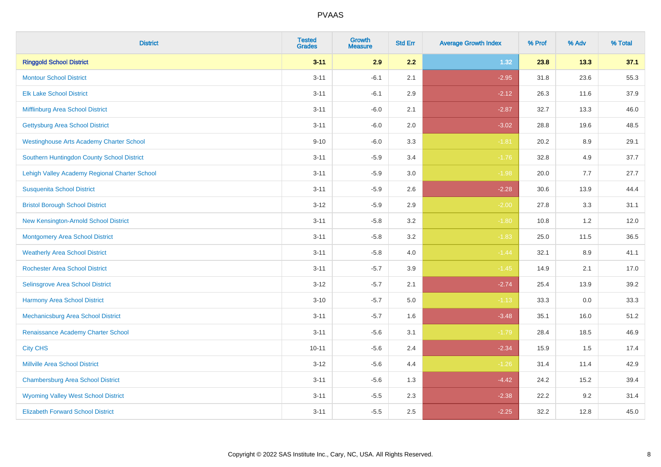| <b>District</b>                                 | <b>Tested</b><br><b>Grades</b> | <b>Growth</b><br><b>Measure</b> | <b>Std Err</b> | <b>Average Growth Index</b> | % Prof | % Adv | % Total |
|-------------------------------------------------|--------------------------------|---------------------------------|----------------|-----------------------------|--------|-------|---------|
| <b>Ringgold School District</b>                 | $3 - 11$                       | 2.9                             | 2.2            | 1.32                        | 23.8   | 13.3  | 37.1    |
| <b>Montour School District</b>                  | $3 - 11$                       | $-6.1$                          | 2.1            | $-2.95$                     | 31.8   | 23.6  | 55.3    |
| <b>Elk Lake School District</b>                 | $3 - 11$                       | $-6.1$                          | 2.9            | $-2.12$                     | 26.3   | 11.6  | 37.9    |
| Mifflinburg Area School District                | $3 - 11$                       | $-6.0$                          | 2.1            | $-2.87$                     | 32.7   | 13.3  | 46.0    |
| <b>Gettysburg Area School District</b>          | $3 - 11$                       | $-6.0$                          | 2.0            | $-3.02$                     | 28.8   | 19.6  | 48.5    |
| <b>Westinghouse Arts Academy Charter School</b> | $9 - 10$                       | $-6.0$                          | 3.3            | $-1.81$                     | 20.2   | 8.9   | 29.1    |
| Southern Huntingdon County School District      | $3 - 11$                       | $-5.9$                          | 3.4            | $-1.76$                     | 32.8   | 4.9   | 37.7    |
| Lehigh Valley Academy Regional Charter School   | $3 - 11$                       | $-5.9$                          | 3.0            | $-1.98$                     | 20.0   | 7.7   | 27.7    |
| <b>Susquenita School District</b>               | $3 - 11$                       | $-5.9$                          | 2.6            | $-2.28$                     | 30.6   | 13.9  | 44.4    |
| <b>Bristol Borough School District</b>          | $3 - 12$                       | $-5.9$                          | 2.9            | $-2.00$                     | 27.8   | 3.3   | 31.1    |
| New Kensington-Arnold School District           | $3 - 11$                       | $-5.8$                          | 3.2            | $-1.80$                     | 10.8   | 1.2   | 12.0    |
| <b>Montgomery Area School District</b>          | $3 - 11$                       | $-5.8$                          | 3.2            | $-1.83$                     | 25.0   | 11.5  | 36.5    |
| <b>Weatherly Area School District</b>           | $3 - 11$                       | $-5.8$                          | 4.0            | $-1.44$                     | 32.1   | 8.9   | 41.1    |
| <b>Rochester Area School District</b>           | $3 - 11$                       | $-5.7$                          | 3.9            | $-1.45$                     | 14.9   | 2.1   | 17.0    |
| <b>Selinsgrove Area School District</b>         | $3 - 12$                       | $-5.7$                          | 2.1            | $-2.74$                     | 25.4   | 13.9  | 39.2    |
| <b>Harmony Area School District</b>             | $3 - 10$                       | $-5.7$                          | 5.0            | $-1.13$                     | 33.3   | 0.0   | 33.3    |
| Mechanicsburg Area School District              | $3 - 11$                       | $-5.7$                          | 1.6            | $-3.48$                     | 35.1   | 16.0  | 51.2    |
| Renaissance Academy Charter School              | $3 - 11$                       | $-5.6$                          | 3.1            | $-1.79$                     | 28.4   | 18.5  | 46.9    |
| <b>City CHS</b>                                 | $10 - 11$                      | $-5.6$                          | 2.4            | $-2.34$                     | 15.9   | 1.5   | 17.4    |
| <b>Millville Area School District</b>           | $3 - 12$                       | $-5.6$                          | 4.4            | $-1.26$                     | 31.4   | 11.4  | 42.9    |
| <b>Chambersburg Area School District</b>        | $3 - 11$                       | $-5.6$                          | 1.3            | $-4.42$                     | 24.2   | 15.2  | 39.4    |
| <b>Wyoming Valley West School District</b>      | $3 - 11$                       | $-5.5$                          | 2.3            | $-2.38$                     | 22.2   | 9.2   | 31.4    |
| <b>Elizabeth Forward School District</b>        | $3 - 11$                       | $-5.5$                          | 2.5            | $-2.25$                     | 32.2   | 12.8  | 45.0    |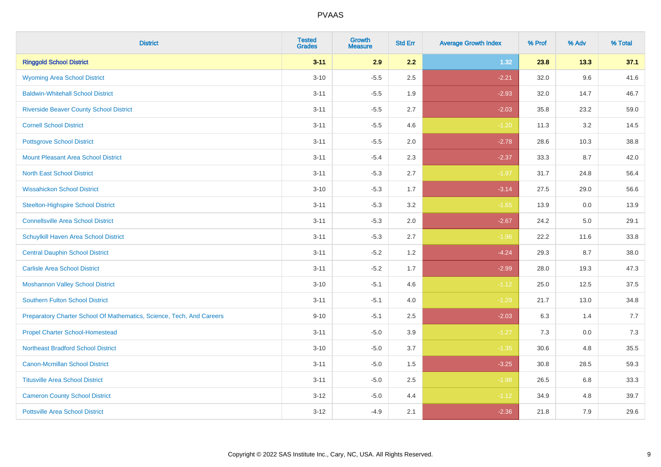| <b>District</b>                                                       | <b>Tested</b><br><b>Grades</b> | <b>Growth</b><br><b>Measure</b> | <b>Std Err</b> | <b>Average Growth Index</b> | % Prof | % Adv | % Total |
|-----------------------------------------------------------------------|--------------------------------|---------------------------------|----------------|-----------------------------|--------|-------|---------|
| <b>Ringgold School District</b>                                       | $3 - 11$                       | 2.9                             | 2.2            | 1.32                        | 23.8   | 13.3  | 37.1    |
| <b>Wyoming Area School District</b>                                   | $3 - 10$                       | $-5.5$                          | 2.5            | $-2.21$                     | 32.0   | 9.6   | 41.6    |
| <b>Baldwin-Whitehall School District</b>                              | $3 - 11$                       | $-5.5$                          | 1.9            | $-2.93$                     | 32.0   | 14.7  | 46.7    |
| <b>Riverside Beaver County School District</b>                        | $3 - 11$                       | $-5.5$                          | 2.7            | $-2.03$                     | 35.8   | 23.2  | 59.0    |
| <b>Cornell School District</b>                                        | $3 - 11$                       | $-5.5$                          | 4.6            | $-1.20$                     | 11.3   | 3.2   | 14.5    |
| <b>Pottsgrove School District</b>                                     | $3 - 11$                       | $-5.5$                          | 2.0            | $-2.78$                     | 28.6   | 10.3  | 38.8    |
| Mount Pleasant Area School District                                   | $3 - 11$                       | $-5.4$                          | 2.3            | $-2.37$                     | 33.3   | 8.7   | 42.0    |
| <b>North East School District</b>                                     | $3 - 11$                       | $-5.3$                          | 2.7            | $-1.97$                     | 31.7   | 24.8  | 56.4    |
| <b>Wissahickon School District</b>                                    | $3 - 10$                       | $-5.3$                          | 1.7            | $-3.14$                     | 27.5   | 29.0  | 56.6    |
| <b>Steelton-Highspire School District</b>                             | $3 - 11$                       | $-5.3$                          | 3.2            | $-1.65$                     | 13.9   | 0.0   | 13.9    |
| <b>Connellsville Area School District</b>                             | $3 - 11$                       | $-5.3$                          | 2.0            | $-2.67$                     | 24.2   | 5.0   | 29.1    |
| <b>Schuylkill Haven Area School District</b>                          | $3 - 11$                       | $-5.3$                          | 2.7            | $-1.96$                     | 22.2   | 11.6  | 33.8    |
| <b>Central Dauphin School District</b>                                | $3 - 11$                       | $-5.2$                          | 1.2            | $-4.24$                     | 29.3   | 8.7   | 38.0    |
| <b>Carlisle Area School District</b>                                  | $3 - 11$                       | $-5.2$                          | 1.7            | $-2.99$                     | 28.0   | 19.3  | 47.3    |
| <b>Moshannon Valley School District</b>                               | $3 - 10$                       | $-5.1$                          | 4.6            | $-1.12$                     | 25.0   | 12.5  | 37.5    |
| <b>Southern Fulton School District</b>                                | $3 - 11$                       | $-5.1$                          | 4.0            | $-1.29$                     | 21.7   | 13.0  | 34.8    |
| Preparatory Charter School Of Mathematics, Science, Tech, And Careers | $9 - 10$                       | $-5.1$                          | 2.5            | $-2.03$                     | 6.3    | 1.4   | 7.7     |
| <b>Propel Charter School-Homestead</b>                                | $3 - 11$                       | $-5.0$                          | 3.9            | $-1.27$                     | 7.3    | 0.0   | 7.3     |
| <b>Northeast Bradford School District</b>                             | $3 - 10$                       | $-5.0$                          | 3.7            | $-1.35$                     | 30.6   | 4.8   | 35.5    |
| <b>Canon-Mcmillan School District</b>                                 | $3 - 11$                       | $-5.0$                          | 1.5            | $-3.25$                     | 30.8   | 28.5  | 59.3    |
| <b>Titusville Area School District</b>                                | $3 - 11$                       | $-5.0$                          | 2.5            | $-1.98$                     | 26.5   | 6.8   | 33.3    |
| <b>Cameron County School District</b>                                 | $3 - 12$                       | $-5.0$                          | 4.4            | $-1.12$                     | 34.9   | 4.8   | 39.7    |
| <b>Pottsville Area School District</b>                                | $3-12$                         | $-4.9$                          | 2.1            | $-2.36$                     | 21.8   | 7.9   | 29.6    |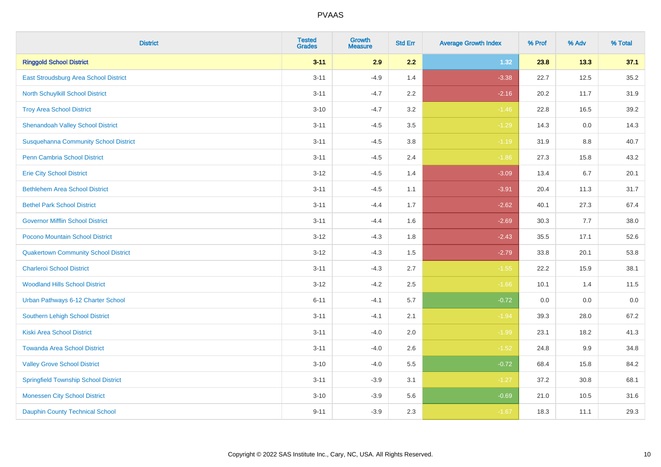| <b>District</b>                              | <b>Tested</b><br><b>Grades</b> | <b>Growth</b><br><b>Measure</b> | <b>Std Err</b> | <b>Average Growth Index</b> | % Prof | % Adv | % Total |
|----------------------------------------------|--------------------------------|---------------------------------|----------------|-----------------------------|--------|-------|---------|
| <b>Ringgold School District</b>              | $3 - 11$                       | 2.9                             | 2.2            | 1.32                        | 23.8   | 13.3  | 37.1    |
| <b>East Stroudsburg Area School District</b> | $3 - 11$                       | $-4.9$                          | 1.4            | $-3.38$                     | 22.7   | 12.5  | 35.2    |
| <b>North Schuylkill School District</b>      | $3 - 11$                       | $-4.7$                          | 2.2            | $-2.16$                     | 20.2   | 11.7  | 31.9    |
| <b>Troy Area School District</b>             | $3 - 10$                       | $-4.7$                          | 3.2            | $-1.46$                     | 22.8   | 16.5  | 39.2    |
| <b>Shenandoah Valley School District</b>     | $3 - 11$                       | $-4.5$                          | 3.5            | $-1.29$                     | 14.3   | 0.0   | 14.3    |
| <b>Susquehanna Community School District</b> | $3 - 11$                       | $-4.5$                          | 3.8            | $-1.19$                     | 31.9   | 8.8   | 40.7    |
| <b>Penn Cambria School District</b>          | $3 - 11$                       | $-4.5$                          | 2.4            | $-1.86$                     | 27.3   | 15.8  | 43.2    |
| <b>Erie City School District</b>             | $3 - 12$                       | $-4.5$                          | 1.4            | $-3.09$                     | 13.4   | 6.7   | 20.1    |
| <b>Bethlehem Area School District</b>        | $3 - 11$                       | $-4.5$                          | 1.1            | $-3.91$                     | 20.4   | 11.3  | 31.7    |
| <b>Bethel Park School District</b>           | $3 - 11$                       | $-4.4$                          | 1.7            | $-2.62$                     | 40.1   | 27.3  | 67.4    |
| <b>Governor Mifflin School District</b>      | $3 - 11$                       | $-4.4$                          | 1.6            | $-2.69$                     | 30.3   | 7.7   | 38.0    |
| Pocono Mountain School District              | $3 - 12$                       | $-4.3$                          | 1.8            | $-2.43$                     | 35.5   | 17.1  | 52.6    |
| <b>Quakertown Community School District</b>  | $3 - 12$                       | $-4.3$                          | 1.5            | $-2.79$                     | 33.8   | 20.1  | 53.8    |
| <b>Charleroi School District</b>             | $3 - 11$                       | $-4.3$                          | 2.7            | $-1.55$                     | 22.2   | 15.9  | 38.1    |
| <b>Woodland Hills School District</b>        | $3 - 12$                       | $-4.2$                          | 2.5            | $-1.66$                     | 10.1   | 1.4   | 11.5    |
| Urban Pathways 6-12 Charter School           | $6 - 11$                       | $-4.1$                          | 5.7            | $-0.72$                     | 0.0    | 0.0   | 0.0     |
| <b>Southern Lehigh School District</b>       | $3 - 11$                       | $-4.1$                          | 2.1            | $-1.94$                     | 39.3   | 28.0  | 67.2    |
| <b>Kiski Area School District</b>            | $3 - 11$                       | $-4.0$                          | 2.0            | $-1.99$                     | 23.1   | 18.2  | 41.3    |
| <b>Towanda Area School District</b>          | $3 - 11$                       | $-4.0$                          | 2.6            | $-1.52$                     | 24.8   | 9.9   | 34.8    |
| <b>Valley Grove School District</b>          | $3 - 10$                       | $-4.0$                          | 5.5            | $-0.72$                     | 68.4   | 15.8  | 84.2    |
| <b>Springfield Township School District</b>  | $3 - 11$                       | $-3.9$                          | 3.1            | $-1.27$                     | 37.2   | 30.8  | 68.1    |
| <b>Monessen City School District</b>         | $3 - 10$                       | $-3.9$                          | 5.6            | $-0.69$                     | 21.0   | 10.5  | 31.6    |
| <b>Dauphin County Technical School</b>       | $9 - 11$                       | $-3.9$                          | 2.3            | $-1.67$                     | 18.3   | 11.1  | 29.3    |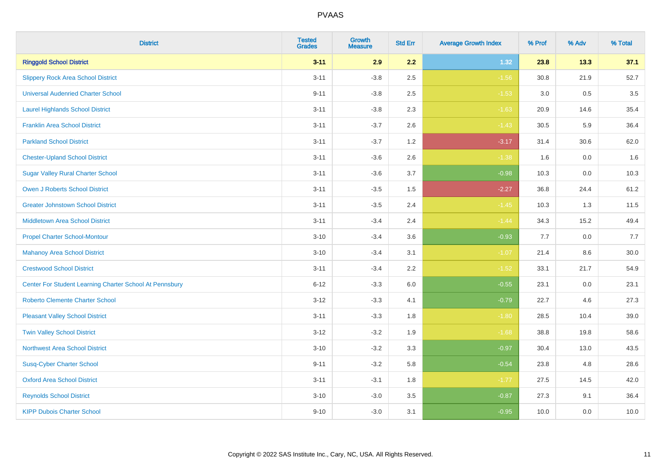| <b>District</b>                                         | <b>Tested</b><br><b>Grades</b> | Growth<br><b>Measure</b> | <b>Std Err</b> | <b>Average Growth Index</b> | % Prof | % Adv   | % Total |
|---------------------------------------------------------|--------------------------------|--------------------------|----------------|-----------------------------|--------|---------|---------|
| <b>Ringgold School District</b>                         | $3 - 11$                       | 2.9                      | 2.2            | 1.32                        | 23.8   | 13.3    | 37.1    |
| <b>Slippery Rock Area School District</b>               | $3 - 11$                       | $-3.8$                   | 2.5            | $-1.56$                     | 30.8   | 21.9    | 52.7    |
| <b>Universal Audenried Charter School</b>               | $9 - 11$                       | $-3.8$                   | 2.5            | $-1.53$                     | 3.0    | 0.5     | 3.5     |
| <b>Laurel Highlands School District</b>                 | $3 - 11$                       | $-3.8$                   | 2.3            | $-1.63$                     | 20.9   | 14.6    | 35.4    |
| <b>Franklin Area School District</b>                    | $3 - 11$                       | $-3.7$                   | 2.6            | $-1.43$                     | 30.5   | 5.9     | 36.4    |
| <b>Parkland School District</b>                         | $3 - 11$                       | $-3.7$                   | 1.2            | $-3.17$                     | 31.4   | 30.6    | 62.0    |
| <b>Chester-Upland School District</b>                   | $3 - 11$                       | $-3.6$                   | 2.6            | $-1.38$                     | 1.6    | 0.0     | 1.6     |
| <b>Sugar Valley Rural Charter School</b>                | $3 - 11$                       | $-3.6$                   | 3.7            | $-0.98$                     | 10.3   | 0.0     | 10.3    |
| <b>Owen J Roberts School District</b>                   | $3 - 11$                       | $-3.5$                   | 1.5            | $-2.27$                     | 36.8   | 24.4    | 61.2    |
| <b>Greater Johnstown School District</b>                | $3 - 11$                       | $-3.5$                   | 2.4            | $-1.45$                     | 10.3   | 1.3     | 11.5    |
| <b>Middletown Area School District</b>                  | $3 - 11$                       | $-3.4$                   | 2.4            | $-1.44$                     | 34.3   | 15.2    | 49.4    |
| <b>Propel Charter School-Montour</b>                    | $3 - 10$                       | $-3.4$                   | 3.6            | $-0.93$                     | 7.7    | 0.0     | 7.7     |
| <b>Mahanoy Area School District</b>                     | $3 - 10$                       | $-3.4$                   | 3.1            | $-1.07$                     | 21.4   | $8.6\,$ | 30.0    |
| <b>Crestwood School District</b>                        | $3 - 11$                       | $-3.4$                   | 2.2            | $-1.52$                     | 33.1   | 21.7    | 54.9    |
| Center For Student Learning Charter School At Pennsbury | $6 - 12$                       | $-3.3$                   | 6.0            | $-0.55$                     | 23.1   | 0.0     | 23.1    |
| <b>Roberto Clemente Charter School</b>                  | $3 - 12$                       | $-3.3$                   | 4.1            | $-0.79$                     | 22.7   | 4.6     | 27.3    |
| <b>Pleasant Valley School District</b>                  | $3 - 11$                       | $-3.3$                   | 1.8            | $-1.80$                     | 28.5   | 10.4    | 39.0    |
| <b>Twin Valley School District</b>                      | $3 - 12$                       | $-3.2$                   | 1.9            | $-1.68$                     | 38.8   | 19.8    | 58.6    |
| <b>Northwest Area School District</b>                   | $3 - 10$                       | $-3.2$                   | 3.3            | $-0.97$                     | 30.4   | 13.0    | 43.5    |
| <b>Susq-Cyber Charter School</b>                        | $9 - 11$                       | $-3.2$                   | 5.8            | $-0.54$                     | 23.8   | 4.8     | 28.6    |
| <b>Oxford Area School District</b>                      | $3 - 11$                       | $-3.1$                   | 1.8            | $-1.77$                     | 27.5   | 14.5    | 42.0    |
| <b>Reynolds School District</b>                         | $3 - 10$                       | $-3.0$                   | 3.5            | $-0.87$                     | 27.3   | 9.1     | 36.4    |
| <b>KIPP Dubois Charter School</b>                       | $9 - 10$                       | $-3.0$                   | 3.1            | $-0.95$                     | 10.0   | 0.0     | 10.0    |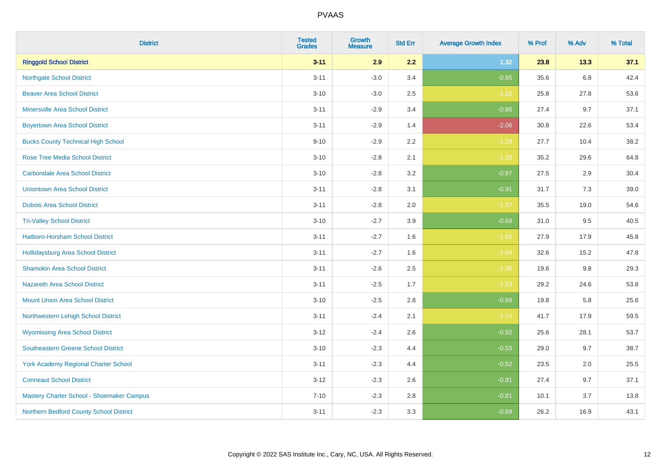| <b>District</b>                             | <b>Tested</b><br><b>Grades</b> | <b>Growth</b><br><b>Measure</b> | <b>Std Err</b> | <b>Average Growth Index</b> | % Prof | % Adv   | % Total |
|---------------------------------------------|--------------------------------|---------------------------------|----------------|-----------------------------|--------|---------|---------|
| <b>Ringgold School District</b>             | $3 - 11$                       | 2.9                             | 2.2            | 1.32                        | 23.8   | 13.3    | 37.1    |
| <b>Northgate School District</b>            | $3 - 11$                       | $-3.0$                          | 3.4            | $-0.85$                     | 35.6   | $6.8\,$ | 42.4    |
| <b>Beaver Area School District</b>          | $3 - 10$                       | $-3.0$                          | 2.5            | $-1.16$                     | 25.8   | 27.8    | 53.6    |
| <b>Minersville Area School District</b>     | $3 - 11$                       | $-2.9$                          | 3.4            | $-0.86$                     | 27.4   | 9.7     | 37.1    |
| <b>Boyertown Area School District</b>       | $3 - 11$                       | $-2.9$                          | 1.4            | $-2.06$                     | 30.8   | 22.6    | 53.4    |
| <b>Bucks County Technical High School</b>   | $9 - 10$                       | $-2.9$                          | 2.2            | $-1.29$                     | 27.7   | 10.4    | 38.2    |
| <b>Rose Tree Media School District</b>      | $3 - 10$                       | $-2.8$                          | 2.1            | $-1.33$                     | 35.2   | 29.6    | 64.8    |
| <b>Carbondale Area School District</b>      | $3 - 10$                       | $-2.8$                          | 3.2            | $-0.87$                     | 27.5   | 2.9     | 30.4    |
| <b>Uniontown Area School District</b>       | $3 - 11$                       | $-2.8$                          | 3.1            | $-0.91$                     | 31.7   | 7.3     | 39.0    |
| <b>Dubois Area School District</b>          | $3 - 11$                       | $-2.8$                          | 2.0            | $-1.37$                     | 35.5   | 19.0    | 54.6    |
| <b>Tri-Valley School District</b>           | $3 - 10$                       | $-2.7$                          | 3.9            | $-0.69$                     | 31.0   | 9.5     | 40.5    |
| Hatboro-Horsham School District             | $3 - 11$                       | $-2.7$                          | 1.6            | $-1.65$                     | 27.9   | 17.9    | 45.8    |
| Hollidaysburg Area School District          | $3 - 11$                       | $-2.7$                          | 1.6            | $-1.64$                     | 32.6   | 15.2    | 47.8    |
| <b>Shamokin Area School District</b>        | $3 - 11$                       | $-2.6$                          | 2.5            | $-1.06$                     | 19.6   | 9.8     | 29.3    |
| <b>Nazareth Area School District</b>        | $3 - 11$                       | $-2.5$                          | 1.7            | $-1.53$                     | 29.2   | 24.6    | 53.8    |
| <b>Mount Union Area School District</b>     | $3 - 10$                       | $-2.5$                          | 2.8            | $-0.89$                     | 19.8   | 5.8     | 25.6    |
| Northwestern Lehigh School District         | $3 - 11$                       | $-2.4$                          | 2.1            | $-1.14$                     | 41.7   | 17.9    | 59.5    |
| <b>Wyomissing Area School District</b>      | $3 - 12$                       | $-2.4$                          | 2.6            | $-0.92$                     | 25.6   | 28.1    | 53.7    |
| <b>Southeastern Greene School District</b>  | $3 - 10$                       | $-2.3$                          | 4.4            | $-0.53$                     | 29.0   | 9.7     | 38.7    |
| <b>York Academy Regional Charter School</b> | $3 - 11$                       | $-2.3$                          | 4.4            | $-0.52$                     | 23.5   | 2.0     | 25.5    |
| <b>Conneaut School District</b>             | $3 - 12$                       | $-2.3$                          | 2.6            | $-0.91$                     | 27.4   | 9.7     | 37.1    |
| Mastery Charter School - Shoemaker Campus   | $7 - 10$                       | $-2.3$                          | 2.8            | $-0.81$                     | 10.1   | 3.7     | 13.8    |
| Northern Bedford County School District     | $3 - 11$                       | $-2.3$                          | 3.3            | $-0.69$                     | 26.2   | 16.9    | 43.1    |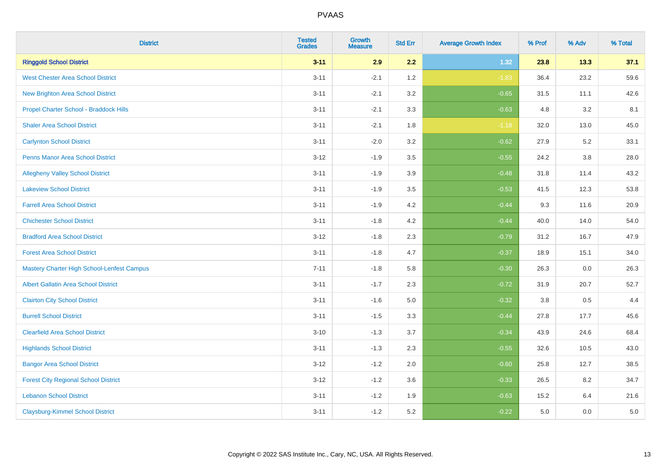| <b>District</b>                                   | <b>Tested</b><br><b>Grades</b> | <b>Growth</b><br><b>Measure</b> | <b>Std Err</b> | <b>Average Growth Index</b> | % Prof | % Adv | % Total |
|---------------------------------------------------|--------------------------------|---------------------------------|----------------|-----------------------------|--------|-------|---------|
| <b>Ringgold School District</b>                   | $3 - 11$                       | 2.9                             | 2.2            | 1.32                        | 23.8   | 13.3  | 37.1    |
| <b>West Chester Area School District</b>          | $3 - 11$                       | $-2.1$                          | 1.2            | $-1.83$                     | 36.4   | 23.2  | 59.6    |
| <b>New Brighton Area School District</b>          | $3 - 11$                       | $-2.1$                          | 3.2            | $-0.65$                     | 31.5   | 11.1  | 42.6    |
| Propel Charter School - Braddock Hills            | $3 - 11$                       | $-2.1$                          | 3.3            | $-0.63$                     | 4.8    | 3.2   | 8.1     |
| <b>Shaler Area School District</b>                | $3 - 11$                       | $-2.1$                          | 1.8            | $-1.18$                     | 32.0   | 13.0  | 45.0    |
| <b>Carlynton School District</b>                  | $3 - 11$                       | $-2.0$                          | 3.2            | $-0.62$                     | 27.9   | 5.2   | 33.1    |
| <b>Penns Manor Area School District</b>           | $3 - 12$                       | $-1.9$                          | 3.5            | $-0.55$                     | 24.2   | 3.8   | 28.0    |
| <b>Allegheny Valley School District</b>           | $3 - 11$                       | $-1.9$                          | 3.9            | $-0.48$                     | 31.8   | 11.4  | 43.2    |
| <b>Lakeview School District</b>                   | $3 - 11$                       | $-1.9$                          | 3.5            | $-0.53$                     | 41.5   | 12.3  | 53.8    |
| <b>Farrell Area School District</b>               | $3 - 11$                       | $-1.9$                          | 4.2            | $-0.44$                     | 9.3    | 11.6  | 20.9    |
| <b>Chichester School District</b>                 | $3 - 11$                       | $-1.8$                          | 4.2            | $-0.44$                     | 40.0   | 14.0  | 54.0    |
| <b>Bradford Area School District</b>              | $3 - 12$                       | $-1.8$                          | 2.3            | $-0.79$                     | 31.2   | 16.7  | 47.9    |
| <b>Forest Area School District</b>                | $3 - 11$                       | $-1.8$                          | 4.7            | $-0.37$                     | 18.9   | 15.1  | 34.0    |
| <b>Mastery Charter High School-Lenfest Campus</b> | $7 - 11$                       | $-1.8$                          | 5.8            | $-0.30$                     | 26.3   | 0.0   | 26.3    |
| <b>Albert Gallatin Area School District</b>       | $3 - 11$                       | $-1.7$                          | 2.3            | $-0.72$                     | 31.9   | 20.7  | 52.7    |
| <b>Clairton City School District</b>              | $3 - 11$                       | $-1.6$                          | 5.0            | $-0.32$                     | 3.8    | 0.5   | 4.4     |
| <b>Burrell School District</b>                    | $3 - 11$                       | $-1.5$                          | 3.3            | $-0.44$                     | 27.8   | 17.7  | 45.6    |
| <b>Clearfield Area School District</b>            | $3 - 10$                       | $-1.3$                          | 3.7            | $-0.34$                     | 43.9   | 24.6  | 68.4    |
| <b>Highlands School District</b>                  | $3 - 11$                       | $-1.3$                          | 2.3            | $-0.55$                     | 32.6   | 10.5  | 43.0    |
| <b>Bangor Area School District</b>                | $3 - 12$                       | $-1.2$                          | 2.0            | $-0.60$                     | 25.8   | 12.7  | 38.5    |
| <b>Forest City Regional School District</b>       | $3 - 12$                       | $-1.2$                          | 3.6            | $-0.33$                     | 26.5   | 8.2   | 34.7    |
| <b>Lebanon School District</b>                    | $3 - 11$                       | $-1.2$                          | 1.9            | $-0.63$                     | 15.2   | 6.4   | 21.6    |
| <b>Claysburg-Kimmel School District</b>           | $3 - 11$                       | $-1.2$                          | 5.2            | $-0.22$                     | 5.0    | 0.0   | $5.0$   |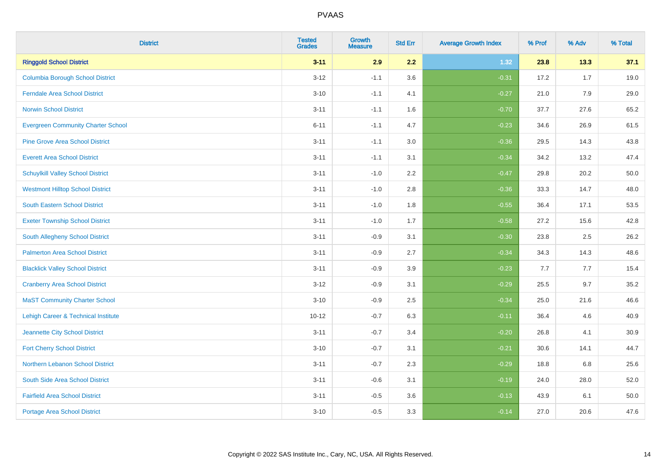| <b>District</b>                                | <b>Tested</b><br><b>Grades</b> | Growth<br><b>Measure</b> | <b>Std Err</b> | <b>Average Growth Index</b> | % Prof | % Adv | % Total |
|------------------------------------------------|--------------------------------|--------------------------|----------------|-----------------------------|--------|-------|---------|
| <b>Ringgold School District</b>                | $3 - 11$                       | 2.9                      | 2.2            | 1.32                        | 23.8   | 13.3  | 37.1    |
| <b>Columbia Borough School District</b>        | $3 - 12$                       | $-1.1$                   | 3.6            | $-0.31$                     | 17.2   | 1.7   | 19.0    |
| <b>Ferndale Area School District</b>           | $3 - 10$                       | $-1.1$                   | 4.1            | $-0.27$                     | 21.0   | 7.9   | 29.0    |
| <b>Norwin School District</b>                  | $3 - 11$                       | $-1.1$                   | 1.6            | $-0.70$                     | 37.7   | 27.6  | 65.2    |
| <b>Evergreen Community Charter School</b>      | $6 - 11$                       | $-1.1$                   | 4.7            | $-0.23$                     | 34.6   | 26.9  | 61.5    |
| <b>Pine Grove Area School District</b>         | $3 - 11$                       | $-1.1$                   | 3.0            | $-0.36$                     | 29.5   | 14.3  | 43.8    |
| <b>Everett Area School District</b>            | $3 - 11$                       | $-1.1$                   | 3.1            | $-0.34$                     | 34.2   | 13.2  | 47.4    |
| <b>Schuylkill Valley School District</b>       | $3 - 11$                       | $-1.0$                   | 2.2            | $-0.47$                     | 29.8   | 20.2  | 50.0    |
| <b>Westmont Hilltop School District</b>        | $3 - 11$                       | $-1.0$                   | 2.8            | $-0.36$                     | 33.3   | 14.7  | 48.0    |
| <b>South Eastern School District</b>           | $3 - 11$                       | $-1.0$                   | 1.8            | $-0.55$                     | 36.4   | 17.1  | 53.5    |
| <b>Exeter Township School District</b>         | $3 - 11$                       | $-1.0$                   | 1.7            | $-0.58$                     | 27.2   | 15.6  | 42.8    |
| <b>South Allegheny School District</b>         | $3 - 11$                       | $-0.9$                   | 3.1            | $-0.30$                     | 23.8   | 2.5   | 26.2    |
| <b>Palmerton Area School District</b>          | $3 - 11$                       | $-0.9$                   | 2.7            | $-0.34$                     | 34.3   | 14.3  | 48.6    |
| <b>Blacklick Valley School District</b>        | $3 - 11$                       | $-0.9$                   | 3.9            | $-0.23$                     | 7.7    | 7.7   | 15.4    |
| <b>Cranberry Area School District</b>          | $3 - 12$                       | $-0.9$                   | 3.1            | $-0.29$                     | 25.5   | 9.7   | 35.2    |
| <b>MaST Community Charter School</b>           | $3 - 10$                       | $-0.9$                   | 2.5            | $-0.34$                     | 25.0   | 21.6  | 46.6    |
| <b>Lehigh Career &amp; Technical Institute</b> | $10 - 12$                      | $-0.7$                   | 6.3            | $-0.11$                     | 36.4   | 4.6   | 40.9    |
| Jeannette City School District                 | $3 - 11$                       | $-0.7$                   | 3.4            | $-0.20$                     | 26.8   | 4.1   | 30.9    |
| <b>Fort Cherry School District</b>             | $3 - 10$                       | $-0.7$                   | 3.1            | $-0.21$                     | 30.6   | 14.1  | 44.7    |
| Northern Lebanon School District               | $3 - 11$                       | $-0.7$                   | 2.3            | $-0.29$                     | 18.8   | 6.8   | 25.6    |
| South Side Area School District                | $3 - 11$                       | $-0.6$                   | 3.1            | $-0.19$                     | 24.0   | 28.0  | 52.0    |
| <b>Fairfield Area School District</b>          | $3 - 11$                       | $-0.5$                   | 3.6            | $-0.13$                     | 43.9   | 6.1   | 50.0    |
| <b>Portage Area School District</b>            | $3 - 10$                       | $-0.5$                   | 3.3            | $-0.14$                     | 27.0   | 20.6  | 47.6    |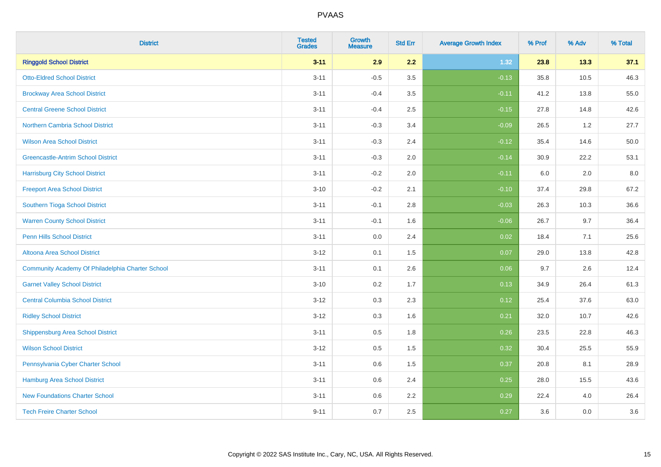| <b>District</b>                                  | <b>Tested</b><br><b>Grades</b> | <b>Growth</b><br><b>Measure</b> | <b>Std Err</b> | <b>Average Growth Index</b> | % Prof | % Adv | % Total |
|--------------------------------------------------|--------------------------------|---------------------------------|----------------|-----------------------------|--------|-------|---------|
| <b>Ringgold School District</b>                  | $3 - 11$                       | 2.9                             | 2.2            | 1.32                        | 23.8   | 13.3  | 37.1    |
| <b>Otto-Eldred School District</b>               | $3 - 11$                       | $-0.5$                          | 3.5            | $-0.13$                     | 35.8   | 10.5  | 46.3    |
| <b>Brockway Area School District</b>             | $3 - 11$                       | $-0.4$                          | 3.5            | $-0.11$                     | 41.2   | 13.8  | 55.0    |
| <b>Central Greene School District</b>            | $3 - 11$                       | $-0.4$                          | 2.5            | $-0.15$                     | 27.8   | 14.8  | 42.6    |
| <b>Northern Cambria School District</b>          | $3 - 11$                       | $-0.3$                          | 3.4            | $-0.09$                     | 26.5   | 1.2   | 27.7    |
| <b>Wilson Area School District</b>               | $3 - 11$                       | $-0.3$                          | 2.4            | $-0.12$                     | 35.4   | 14.6  | 50.0    |
| <b>Greencastle-Antrim School District</b>        | $3 - 11$                       | $-0.3$                          | 2.0            | $-0.14$                     | 30.9   | 22.2  | 53.1    |
| <b>Harrisburg City School District</b>           | $3 - 11$                       | $-0.2$                          | 2.0            | $-0.11$                     | 6.0    | 2.0   | 8.0     |
| <b>Freeport Area School District</b>             | $3 - 10$                       | $-0.2$                          | 2.1            | $-0.10$                     | 37.4   | 29.8  | 67.2    |
| Southern Tioga School District                   | $3 - 11$                       | $-0.1$                          | 2.8            | $-0.03$                     | 26.3   | 10.3  | 36.6    |
| <b>Warren County School District</b>             | $3 - 11$                       | $-0.1$                          | 1.6            | $-0.06$                     | 26.7   | 9.7   | 36.4    |
| <b>Penn Hills School District</b>                | $3 - 11$                       | 0.0                             | 2.4            | 0.02                        | 18.4   | 7.1   | 25.6    |
| Altoona Area School District                     | $3 - 12$                       | 0.1                             | 1.5            | 0.07                        | 29.0   | 13.8  | 42.8    |
| Community Academy Of Philadelphia Charter School | $3 - 11$                       | 0.1                             | 2.6            | 0.06                        | 9.7    | 2.6   | 12.4    |
| <b>Garnet Valley School District</b>             | $3 - 10$                       | 0.2                             | 1.7            | 0.13                        | 34.9   | 26.4  | 61.3    |
| <b>Central Columbia School District</b>          | $3 - 12$                       | 0.3                             | 2.3            | 0.12                        | 25.4   | 37.6  | 63.0    |
| <b>Ridley School District</b>                    | $3-12$                         | 0.3                             | 1.6            | 0.21                        | 32.0   | 10.7  | 42.6    |
| <b>Shippensburg Area School District</b>         | $3 - 11$                       | 0.5                             | 1.8            | 0.26                        | 23.5   | 22.8  | 46.3    |
| <b>Wilson School District</b>                    | $3 - 12$                       | 0.5                             | 1.5            | 0.32                        | 30.4   | 25.5  | 55.9    |
| Pennsylvania Cyber Charter School                | $3 - 11$                       | 0.6                             | 1.5            | 0.37                        | 20.8   | 8.1   | 28.9    |
| <b>Hamburg Area School District</b>              | $3 - 11$                       | 0.6                             | 2.4            | 0.25                        | 28.0   | 15.5  | 43.6    |
| <b>New Foundations Charter School</b>            | $3 - 11$                       | 0.6                             | 2.2            | 0.29                        | 22.4   | 4.0   | 26.4    |
| <b>Tech Freire Charter School</b>                | $9 - 11$                       | 0.7                             | 2.5            | 0.27                        | 3.6    | 0.0   | 3.6     |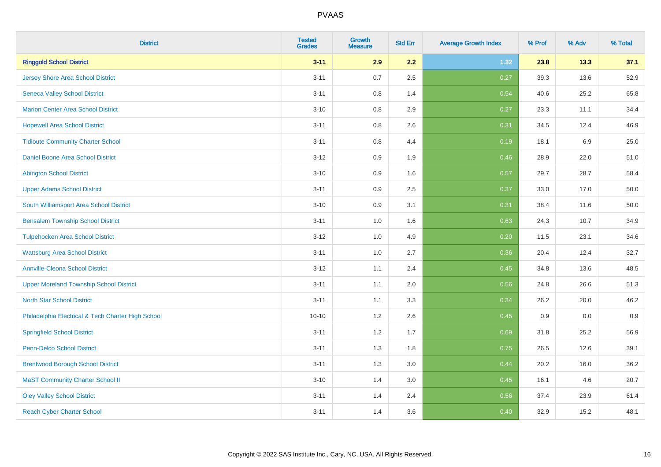| <b>District</b>                                    | <b>Tested</b><br><b>Grades</b> | <b>Growth</b><br><b>Measure</b> | <b>Std Err</b> | <b>Average Growth Index</b> | % Prof | % Adv | % Total |
|----------------------------------------------------|--------------------------------|---------------------------------|----------------|-----------------------------|--------|-------|---------|
| <b>Ringgold School District</b>                    | $3 - 11$                       | 2.9                             | 2.2            | 1.32                        | 23.8   | 13.3  | 37.1    |
| <b>Jersey Shore Area School District</b>           | $3 - 11$                       | 0.7                             | 2.5            | 0.27                        | 39.3   | 13.6  | 52.9    |
| <b>Seneca Valley School District</b>               | $3 - 11$                       | 0.8                             | 1.4            | 0.54                        | 40.6   | 25.2  | 65.8    |
| <b>Marion Center Area School District</b>          | $3 - 10$                       | 0.8                             | 2.9            | 0.27                        | 23.3   | 11.1  | 34.4    |
| <b>Hopewell Area School District</b>               | $3 - 11$                       | 0.8                             | 2.6            | 0.31                        | 34.5   | 12.4  | 46.9    |
| <b>Tidioute Community Charter School</b>           | $3 - 11$                       | 0.8                             | 4.4            | 0.19                        | 18.1   | 6.9   | 25.0    |
| Daniel Boone Area School District                  | $3 - 12$                       | 0.9                             | 1.9            | 0.46                        | 28.9   | 22.0  | 51.0    |
| <b>Abington School District</b>                    | $3 - 10$                       | 0.9                             | 1.6            | 0.57                        | 29.7   | 28.7  | 58.4    |
| <b>Upper Adams School District</b>                 | $3 - 11$                       | 0.9                             | 2.5            | 0.37                        | 33.0   | 17.0  | 50.0    |
| South Williamsport Area School District            | $3 - 10$                       | 0.9                             | 3.1            | 0.31                        | 38.4   | 11.6  | 50.0    |
| <b>Bensalem Township School District</b>           | $3 - 11$                       | 1.0                             | 1.6            | 0.63                        | 24.3   | 10.7  | 34.9    |
| <b>Tulpehocken Area School District</b>            | $3-12$                         | 1.0                             | 4.9            | 0.20                        | 11.5   | 23.1  | 34.6    |
| <b>Wattsburg Area School District</b>              | $3 - 11$                       | 1.0                             | 2.7            | 0.36                        | 20.4   | 12.4  | 32.7    |
| <b>Annville-Cleona School District</b>             | $3 - 12$                       | 1.1                             | 2.4            | 0.45                        | 34.8   | 13.6  | 48.5    |
| <b>Upper Moreland Township School District</b>     | $3 - 11$                       | 1.1                             | 2.0            | 0.56                        | 24.8   | 26.6  | 51.3    |
| <b>North Star School District</b>                  | $3 - 11$                       | 1.1                             | 3.3            | 0.34                        | 26.2   | 20.0  | 46.2    |
| Philadelphia Electrical & Tech Charter High School | $10 - 10$                      | $1.2\,$                         | 2.6            | 0.45                        | 0.9    | 0.0   | 0.9     |
| <b>Springfield School District</b>                 | $3 - 11$                       | 1.2                             | 1.7            | 0.69                        | 31.8   | 25.2  | 56.9    |
| <b>Penn-Delco School District</b>                  | $3 - 11$                       | 1.3                             | 1.8            | 0.75                        | 26.5   | 12.6  | 39.1    |
| <b>Brentwood Borough School District</b>           | $3 - 11$                       | 1.3                             | 3.0            | 0.44                        | 20.2   | 16.0  | 36.2    |
| <b>MaST Community Charter School II</b>            | $3 - 10$                       | 1.4                             | 3.0            | 0.45                        | 16.1   | 4.6   | 20.7    |
| <b>Oley Valley School District</b>                 | $3 - 11$                       | 1.4                             | 2.4            | 0.56                        | 37.4   | 23.9  | 61.4    |
| <b>Reach Cyber Charter School</b>                  | $3 - 11$                       | 1.4                             | 3.6            | 0.40                        | 32.9   | 15.2  | 48.1    |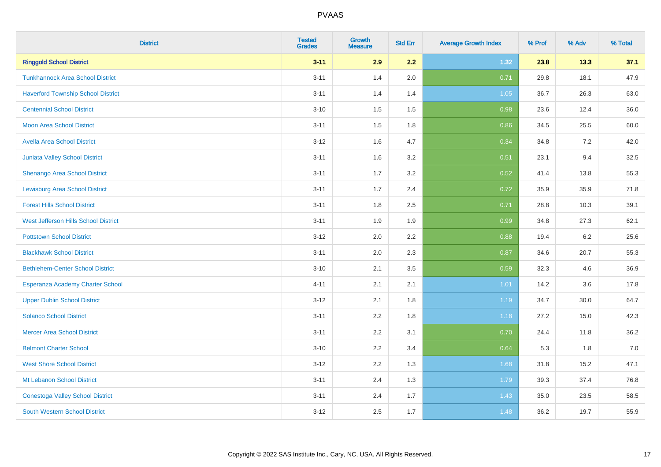| <b>District</b>                           | <b>Tested</b><br><b>Grades</b> | <b>Growth</b><br><b>Measure</b> | <b>Std Err</b> | <b>Average Growth Index</b> | % Prof | % Adv | % Total |
|-------------------------------------------|--------------------------------|---------------------------------|----------------|-----------------------------|--------|-------|---------|
| <b>Ringgold School District</b>           | $3 - 11$                       | 2.9                             | 2.2            | 1.32                        | 23.8   | 13.3  | 37.1    |
| <b>Tunkhannock Area School District</b>   | $3 - 11$                       | 1.4                             | 2.0            | 0.71                        | 29.8   | 18.1  | 47.9    |
| <b>Haverford Township School District</b> | $3 - 11$                       | 1.4                             | 1.4            | 1.05                        | 36.7   | 26.3  | 63.0    |
| <b>Centennial School District</b>         | $3 - 10$                       | 1.5                             | 1.5            | 0.98                        | 23.6   | 12.4  | 36.0    |
| <b>Moon Area School District</b>          | $3 - 11$                       | 1.5                             | 1.8            | 0.86                        | 34.5   | 25.5  | 60.0    |
| <b>Avella Area School District</b>        | $3 - 12$                       | 1.6                             | 4.7            | 0.34                        | 34.8   | 7.2   | 42.0    |
| Juniata Valley School District            | $3 - 11$                       | 1.6                             | 3.2            | 0.51                        | 23.1   | 9.4   | 32.5    |
| <b>Shenango Area School District</b>      | $3 - 11$                       | 1.7                             | 3.2            | 0.52                        | 41.4   | 13.8  | 55.3    |
| <b>Lewisburg Area School District</b>     | $3 - 11$                       | 1.7                             | 2.4            | 0.72                        | 35.9   | 35.9  | 71.8    |
| <b>Forest Hills School District</b>       | $3 - 11$                       | 1.8                             | 2.5            | 0.71                        | 28.8   | 10.3  | 39.1    |
| West Jefferson Hills School District      | $3 - 11$                       | 1.9                             | 1.9            | 0.99                        | 34.8   | 27.3  | 62.1    |
| <b>Pottstown School District</b>          | $3 - 12$                       | 2.0                             | 2.2            | 0.88                        | 19.4   | 6.2   | 25.6    |
| <b>Blackhawk School District</b>          | $3 - 11$                       | 2.0                             | 2.3            | 0.87                        | 34.6   | 20.7  | 55.3    |
| <b>Bethlehem-Center School District</b>   | $3 - 10$                       | 2.1                             | 3.5            | 0.59                        | 32.3   | 4.6   | 36.9    |
| Esperanza Academy Charter School          | $4 - 11$                       | 2.1                             | 2.1            | 1.01                        | 14.2   | 3.6   | 17.8    |
| <b>Upper Dublin School District</b>       | $3 - 12$                       | 2.1                             | 1.8            | 1.19                        | 34.7   | 30.0  | 64.7    |
| <b>Solanco School District</b>            | $3 - 11$                       | 2.2                             | 1.8            | 1.18                        | 27.2   | 15.0  | 42.3    |
| <b>Mercer Area School District</b>        | $3 - 11$                       | 2.2                             | 3.1            | 0.70                        | 24.4   | 11.8  | 36.2    |
| <b>Belmont Charter School</b>             | $3 - 10$                       | 2.2                             | 3.4            | 0.64                        | 5.3    | 1.8   | $7.0$   |
| <b>West Shore School District</b>         | $3 - 12$                       | 2.2                             | 1.3            | 1.68                        | 31.8   | 15.2  | 47.1    |
| Mt Lebanon School District                | $3 - 11$                       | 2.4                             | 1.3            | 1.79                        | 39.3   | 37.4  | 76.8    |
| <b>Conestoga Valley School District</b>   | $3 - 11$                       | 2.4                             | 1.7            | 1.43                        | 35.0   | 23.5  | 58.5    |
| <b>South Western School District</b>      | $3 - 12$                       | 2.5                             | 1.7            | 1.48                        | 36.2   | 19.7  | 55.9    |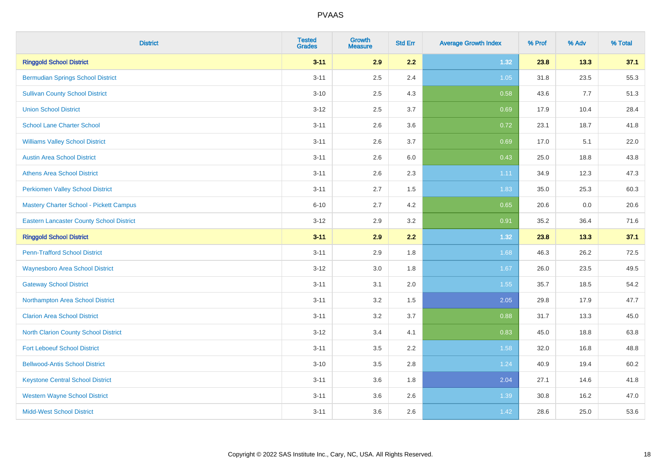| <b>District</b>                                 | <b>Tested</b><br><b>Grades</b> | <b>Growth</b><br><b>Measure</b> | <b>Std Err</b> | <b>Average Growth Index</b> | % Prof | % Adv | % Total |
|-------------------------------------------------|--------------------------------|---------------------------------|----------------|-----------------------------|--------|-------|---------|
| <b>Ringgold School District</b>                 | $3 - 11$                       | 2.9                             | 2.2            | 1.32                        | 23.8   | 13.3  | 37.1    |
| <b>Bermudian Springs School District</b>        | $3 - 11$                       | 2.5                             | 2.4            | 1.05                        | 31.8   | 23.5  | 55.3    |
| <b>Sullivan County School District</b>          | $3 - 10$                       | 2.5                             | 4.3            | 0.58                        | 43.6   | 7.7   | 51.3    |
| <b>Union School District</b>                    | $3 - 12$                       | 2.5                             | 3.7            | 0.69                        | 17.9   | 10.4  | 28.4    |
| <b>School Lane Charter School</b>               | $3 - 11$                       | 2.6                             | 3.6            | 0.72                        | 23.1   | 18.7  | 41.8    |
| <b>Williams Valley School District</b>          | $3 - 11$                       | 2.6                             | 3.7            | 0.69                        | 17.0   | 5.1   | 22.0    |
| <b>Austin Area School District</b>              | $3 - 11$                       | 2.6                             | 6.0            | 0.43                        | 25.0   | 18.8  | 43.8    |
| <b>Athens Area School District</b>              | $3 - 11$                       | 2.6                             | 2.3            | 1.11                        | 34.9   | 12.3  | 47.3    |
| <b>Perkiomen Valley School District</b>         | $3 - 11$                       | 2.7                             | 1.5            | 1.83                        | 35.0   | 25.3  | 60.3    |
| <b>Mastery Charter School - Pickett Campus</b>  | $6 - 10$                       | 2.7                             | 4.2            | 0.65                        | 20.6   | 0.0   | 20.6    |
| <b>Eastern Lancaster County School District</b> | $3 - 12$                       | 2.9                             | 3.2            | 0.91                        | 35.2   | 36.4  | 71.6    |
| <b>Ringgold School District</b>                 | $3 - 11$                       | 2.9                             | 2.2            | 1.32                        | 23.8   | 13.3  | 37.1    |
| <b>Penn-Trafford School District</b>            | $3 - 11$                       | 2.9                             | 1.8            | 1.68                        | 46.3   | 26.2  | 72.5    |
| <b>Waynesboro Area School District</b>          | $3 - 12$                       | 3.0                             | 1.8            | 1.67                        | 26.0   | 23.5  | 49.5    |
| <b>Gateway School District</b>                  | $3 - 11$                       | 3.1                             | 2.0            | 1.55                        | 35.7   | 18.5  | 54.2    |
| Northampton Area School District                | $3 - 11$                       | 3.2                             | 1.5            | 2.05                        | 29.8   | 17.9  | 47.7    |
| <b>Clarion Area School District</b>             | $3 - 11$                       | $3.2\,$                         | 3.7            | 0.88                        | 31.7   | 13.3  | 45.0    |
| <b>North Clarion County School District</b>     | $3 - 12$                       | 3.4                             | 4.1            | 0.83                        | 45.0   | 18.8  | 63.8    |
| <b>Fort Leboeuf School District</b>             | $3 - 11$                       | $3.5\,$                         | 2.2            | 1.58                        | 32.0   | 16.8  | 48.8    |
| <b>Bellwood-Antis School District</b>           | $3 - 10$                       | $3.5\,$                         | 2.8            | 1.24                        | 40.9   | 19.4  | 60.2    |
| <b>Keystone Central School District</b>         | $3 - 11$                       | 3.6                             | 1.8            | 2.04                        | 27.1   | 14.6  | 41.8    |
| <b>Western Wayne School District</b>            | $3 - 11$                       | 3.6                             | 2.6            | 1.39                        | 30.8   | 16.2  | 47.0    |
| <b>Midd-West School District</b>                | $3 - 11$                       | 3.6                             | 2.6            | 1.42                        | 28.6   | 25.0  | 53.6    |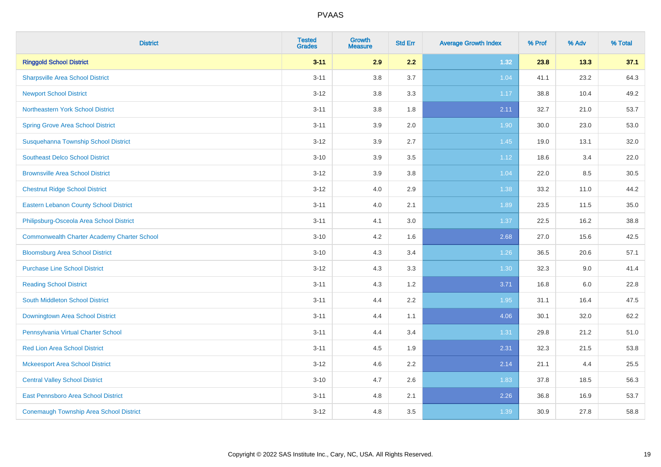| <b>District</b>                                    | <b>Tested</b><br><b>Grades</b> | <b>Growth</b><br><b>Measure</b> | <b>Std Err</b> | <b>Average Growth Index</b> | % Prof | % Adv | % Total |
|----------------------------------------------------|--------------------------------|---------------------------------|----------------|-----------------------------|--------|-------|---------|
| <b>Ringgold School District</b>                    | $3 - 11$                       | 2.9                             | 2.2            | 1.32                        | 23.8   | 13.3  | 37.1    |
| <b>Sharpsville Area School District</b>            | $3 - 11$                       | 3.8                             | 3.7            | 1.04                        | 41.1   | 23.2  | 64.3    |
| <b>Newport School District</b>                     | $3 - 12$                       | 3.8                             | 3.3            | 1.17                        | 38.8   | 10.4  | 49.2    |
| Northeastern York School District                  | $3 - 11$                       | 3.8                             | 1.8            | 2.11                        | 32.7   | 21.0  | 53.7    |
| <b>Spring Grove Area School District</b>           | $3 - 11$                       | 3.9                             | 2.0            | 1.90                        | 30.0   | 23.0  | 53.0    |
| Susquehanna Township School District               | $3 - 12$                       | 3.9                             | 2.7            | 1.45                        | 19.0   | 13.1  | 32.0    |
| <b>Southeast Delco School District</b>             | $3 - 10$                       | 3.9                             | 3.5            | 1.12                        | 18.6   | 3.4   | 22.0    |
| <b>Brownsville Area School District</b>            | $3 - 12$                       | 3.9                             | 3.8            | 1.04                        | 22.0   | 8.5   | 30.5    |
| <b>Chestnut Ridge School District</b>              | $3 - 12$                       | 4.0                             | 2.9            | 1.38                        | 33.2   | 11.0  | 44.2    |
| <b>Eastern Lebanon County School District</b>      | $3 - 11$                       | 4.0                             | 2.1            | 1.89                        | 23.5   | 11.5  | 35.0    |
| Philipsburg-Osceola Area School District           | $3 - 11$                       | 4.1                             | 3.0            | 1.37                        | 22.5   | 16.2  | 38.8    |
| <b>Commonwealth Charter Academy Charter School</b> | $3 - 10$                       | 4.2                             | 1.6            | 2.68                        | 27.0   | 15.6  | 42.5    |
| <b>Bloomsburg Area School District</b>             | $3 - 10$                       | 4.3                             | 3.4            | 1.26                        | 36.5   | 20.6  | 57.1    |
| <b>Purchase Line School District</b>               | $3 - 12$                       | 4.3                             | 3.3            | 1.30                        | 32.3   | 9.0   | 41.4    |
| <b>Reading School District</b>                     | $3 - 11$                       | 4.3                             | 1.2            | 3.71                        | 16.8   | 6.0   | 22.8    |
| South Middleton School District                    | $3 - 11$                       | 4.4                             | 2.2            | 1.95                        | 31.1   | 16.4  | 47.5    |
| <b>Downingtown Area School District</b>            | $3 - 11$                       | 4.4                             | 1.1            | 4.06                        | 30.1   | 32.0  | 62.2    |
| Pennsylvania Virtual Charter School                | $3 - 11$                       | 4.4                             | 3.4            | 1.31                        | 29.8   | 21.2  | 51.0    |
| <b>Red Lion Area School District</b>               | $3 - 11$                       | 4.5                             | 1.9            | 2.31                        | 32.3   | 21.5  | 53.8    |
| <b>Mckeesport Area School District</b>             | $3 - 12$                       | 4.6                             | 2.2            | 2.14                        | 21.1   | 4.4   | 25.5    |
| <b>Central Valley School District</b>              | $3 - 10$                       | 4.7                             | 2.6            | 1.83                        | 37.8   | 18.5  | 56.3    |
| East Pennsboro Area School District                | $3 - 11$                       | 4.8                             | 2.1            | 2.26                        | 36.8   | 16.9  | 53.7    |
| <b>Conemaugh Township Area School District</b>     | $3 - 12$                       | 4.8                             | 3.5            | 1.39                        | 30.9   | 27.8  | 58.8    |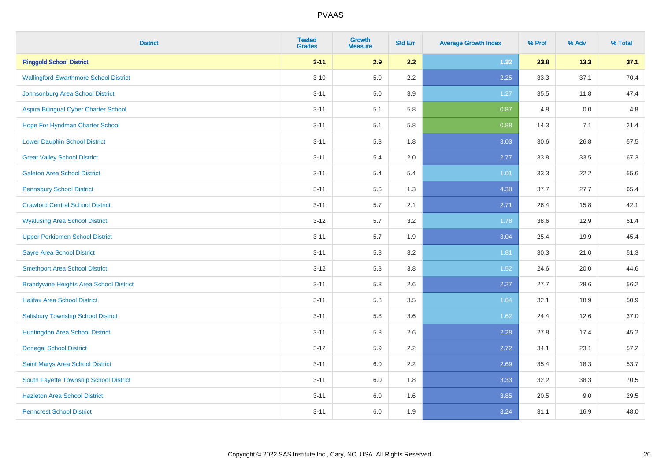| <b>District</b>                                | <b>Tested</b><br><b>Grades</b> | <b>Growth</b><br><b>Measure</b> | <b>Std Err</b> | <b>Average Growth Index</b> | % Prof | % Adv | % Total |
|------------------------------------------------|--------------------------------|---------------------------------|----------------|-----------------------------|--------|-------|---------|
| <b>Ringgold School District</b>                | $3 - 11$                       | 2.9                             | 2.2            | 1.32                        | 23.8   | 13.3  | 37.1    |
| <b>Wallingford-Swarthmore School District</b>  | $3 - 10$                       | $5.0\,$                         | $2.2\,$        | 2.25                        | 33.3   | 37.1  | 70.4    |
| Johnsonburg Area School District               | $3 - 11$                       | 5.0                             | 3.9            | 1.27                        | 35.5   | 11.8  | 47.4    |
| Aspira Bilingual Cyber Charter School          | $3 - 11$                       | 5.1                             | 5.8            | 0.87                        | 4.8    | 0.0   | 4.8     |
| Hope For Hyndman Charter School                | $3 - 11$                       | 5.1                             | 5.8            | 0.88                        | 14.3   | 7.1   | 21.4    |
| <b>Lower Dauphin School District</b>           | $3 - 11$                       | 5.3                             | 1.8            | 3.03                        | 30.6   | 26.8  | 57.5    |
| <b>Great Valley School District</b>            | $3 - 11$                       | 5.4                             | 2.0            | 2.77                        | 33.8   | 33.5  | 67.3    |
| <b>Galeton Area School District</b>            | $3 - 11$                       | 5.4                             | 5.4            | 1.01                        | 33.3   | 22.2  | 55.6    |
| <b>Pennsbury School District</b>               | $3 - 11$                       | 5.6                             | 1.3            | 4.38                        | 37.7   | 27.7  | 65.4    |
| <b>Crawford Central School District</b>        | $3 - 11$                       | 5.7                             | 2.1            | 2.71                        | 26.4   | 15.8  | 42.1    |
| <b>Wyalusing Area School District</b>          | $3 - 12$                       | 5.7                             | 3.2            | 1.78                        | 38.6   | 12.9  | 51.4    |
| <b>Upper Perkiomen School District</b>         | $3 - 11$                       | 5.7                             | 1.9            | 3.04                        | 25.4   | 19.9  | 45.4    |
| <b>Sayre Area School District</b>              | $3 - 11$                       | 5.8                             | 3.2            | 1.81                        | 30.3   | 21.0  | 51.3    |
| <b>Smethport Area School District</b>          | $3 - 12$                       | 5.8                             | 3.8            | 1.52                        | 24.6   | 20.0  | 44.6    |
| <b>Brandywine Heights Area School District</b> | $3 - 11$                       | 5.8                             | 2.6            | 2.27                        | 27.7   | 28.6  | 56.2    |
| <b>Halifax Area School District</b>            | $3 - 11$                       | 5.8                             | 3.5            | 1.64                        | 32.1   | 18.9  | 50.9    |
| <b>Salisbury Township School District</b>      | $3 - 11$                       | 5.8                             | 3.6            | 1.62                        | 24.4   | 12.6  | 37.0    |
| Huntingdon Area School District                | $3 - 11$                       | 5.8                             | 2.6            | 2.28                        | 27.8   | 17.4  | 45.2    |
| <b>Donegal School District</b>                 | $3 - 12$                       | 5.9                             | 2.2            | 2.72                        | 34.1   | 23.1  | 57.2    |
| Saint Marys Area School District               | $3 - 11$                       | 6.0                             | 2.2            | 2.69                        | 35.4   | 18.3  | 53.7    |
| South Fayette Township School District         | $3 - 11$                       | 6.0                             | 1.8            | 3.33                        | 32.2   | 38.3  | 70.5    |
| <b>Hazleton Area School District</b>           | $3 - 11$                       | 6.0                             | 1.6            | 3.85                        | 20.5   | 9.0   | 29.5    |
| <b>Penncrest School District</b>               | $3 - 11$                       | 6.0                             | 1.9            | 3.24                        | 31.1   | 16.9  | 48.0    |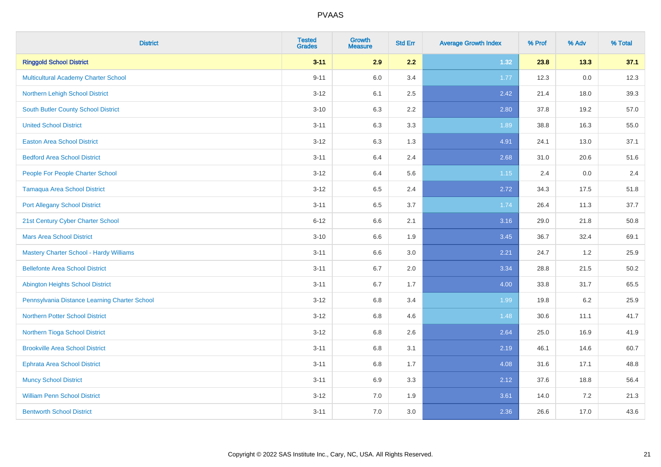| <b>District</b>                                | <b>Tested</b><br><b>Grades</b> | <b>Growth</b><br><b>Measure</b> | <b>Std Err</b> | <b>Average Growth Index</b> | % Prof | % Adv | % Total |
|------------------------------------------------|--------------------------------|---------------------------------|----------------|-----------------------------|--------|-------|---------|
| <b>Ringgold School District</b>                | $3 - 11$                       | 2.9                             | 2.2            | 1.32                        | 23.8   | 13.3  | 37.1    |
| <b>Multicultural Academy Charter School</b>    | $9 - 11$                       | 6.0                             | 3.4            | 1.77                        | 12.3   | 0.0   | 12.3    |
| Northern Lehigh School District                | $3-12$                         | 6.1                             | 2.5            | 2.42                        | 21.4   | 18.0  | 39.3    |
| <b>South Butler County School District</b>     | $3 - 10$                       | 6.3                             | 2.2            | 2.80                        | 37.8   | 19.2  | 57.0    |
| <b>United School District</b>                  | $3 - 11$                       | 6.3                             | 3.3            | 1.89                        | 38.8   | 16.3  | 55.0    |
| <b>Easton Area School District</b>             | $3-12$                         | 6.3                             | 1.3            | 4.91                        | 24.1   | 13.0  | 37.1    |
| <b>Bedford Area School District</b>            | $3 - 11$                       | 6.4                             | 2.4            | 2.68                        | 31.0   | 20.6  | 51.6    |
| People For People Charter School               | $3 - 12$                       | 6.4                             | 5.6            | 1.15                        | 2.4    | 0.0   | 2.4     |
| Tamaqua Area School District                   | $3-12$                         | 6.5                             | 2.4            | 2.72                        | 34.3   | 17.5  | 51.8    |
| <b>Port Allegany School District</b>           | $3 - 11$                       | 6.5                             | 3.7            | 1.74                        | 26.4   | 11.3  | 37.7    |
| 21st Century Cyber Charter School              | $6 - 12$                       | 6.6                             | 2.1            | 3.16                        | 29.0   | 21.8  | 50.8    |
| <b>Mars Area School District</b>               | $3 - 10$                       | 6.6                             | 1.9            | 3.45                        | 36.7   | 32.4  | 69.1    |
| <b>Mastery Charter School - Hardy Williams</b> | $3 - 11$                       | 6.6                             | 3.0            | 2.21                        | 24.7   | 1.2   | 25.9    |
| <b>Bellefonte Area School District</b>         | $3 - 11$                       | 6.7                             | 2.0            | 3.34                        | 28.8   | 21.5  | 50.2    |
| <b>Abington Heights School District</b>        | $3 - 11$                       | 6.7                             | 1.7            | 4.00                        | 33.8   | 31.7  | 65.5    |
| Pennsylvania Distance Learning Charter School  | $3 - 12$                       | 6.8                             | 3.4            | 1.99                        | 19.8   | 6.2   | 25.9    |
| <b>Northern Potter School District</b>         | $3-12$                         | 6.8                             | 4.6            | 1.48                        | 30.6   | 11.1  | 41.7    |
| Northern Tioga School District                 | $3-12$                         | 6.8                             | 2.6            | 2.64                        | 25.0   | 16.9  | 41.9    |
| <b>Brookville Area School District</b>         | $3 - 11$                       | 6.8                             | 3.1            | 2.19                        | 46.1   | 14.6  | 60.7    |
| <b>Ephrata Area School District</b>            | $3 - 11$                       | 6.8                             | 1.7            | 4.08                        | 31.6   | 17.1  | 48.8    |
| <b>Muncy School District</b>                   | $3 - 11$                       | 6.9                             | 3.3            | 2.12                        | 37.6   | 18.8  | 56.4    |
| <b>William Penn School District</b>            | $3 - 12$                       | 7.0                             | 1.9            | 3.61                        | 14.0   | 7.2   | 21.3    |
| <b>Bentworth School District</b>               | $3 - 11$                       | 7.0                             | 3.0            | 2.36                        | 26.6   | 17.0  | 43.6    |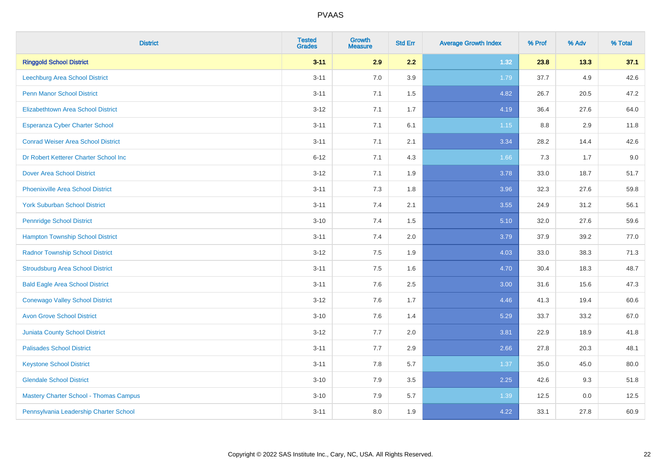| <b>District</b>                               | <b>Tested</b><br><b>Grades</b> | <b>Growth</b><br><b>Measure</b> | <b>Std Err</b> | <b>Average Growth Index</b> | % Prof | % Adv | % Total |
|-----------------------------------------------|--------------------------------|---------------------------------|----------------|-----------------------------|--------|-------|---------|
| <b>Ringgold School District</b>               | $3 - 11$                       | 2.9                             | 2.2            | 1.32                        | 23.8   | 13.3  | 37.1    |
| <b>Leechburg Area School District</b>         | $3 - 11$                       | 7.0                             | 3.9            | 1.79                        | 37.7   | 4.9   | 42.6    |
| <b>Penn Manor School District</b>             | $3 - 11$                       | 7.1                             | 1.5            | 4.82                        | 26.7   | 20.5  | 47.2    |
| <b>Elizabethtown Area School District</b>     | $3 - 12$                       | 7.1                             | 1.7            | 4.19                        | 36.4   | 27.6  | 64.0    |
| <b>Esperanza Cyber Charter School</b>         | $3 - 11$                       | 7.1                             | 6.1            | 1.15                        | 8.8    | 2.9   | 11.8    |
| <b>Conrad Weiser Area School District</b>     | $3 - 11$                       | 7.1                             | 2.1            | 3.34                        | 28.2   | 14.4  | 42.6    |
| Dr Robert Ketterer Charter School Inc         | $6 - 12$                       | 7.1                             | 4.3            | 1.66                        | 7.3    | 1.7   | 9.0     |
| <b>Dover Area School District</b>             | $3 - 12$                       | 7.1                             | 1.9            | 3.78                        | 33.0   | 18.7  | 51.7    |
| <b>Phoenixville Area School District</b>      | $3 - 11$                       | 7.3                             | 1.8            | 3.96                        | 32.3   | 27.6  | 59.8    |
| <b>York Suburban School District</b>          | $3 - 11$                       | 7.4                             | 2.1            | 3.55                        | 24.9   | 31.2  | 56.1    |
| <b>Pennridge School District</b>              | $3 - 10$                       | 7.4                             | 1.5            | 5.10                        | 32.0   | 27.6  | 59.6    |
| <b>Hampton Township School District</b>       | $3 - 11$                       | 7.4                             | 2.0            | 3.79                        | 37.9   | 39.2  | 77.0    |
| <b>Radnor Township School District</b>        | $3 - 12$                       | $7.5\,$                         | 1.9            | 4.03                        | 33.0   | 38.3  | 71.3    |
| <b>Stroudsburg Area School District</b>       | $3 - 11$                       | 7.5                             | 1.6            | 4.70                        | 30.4   | 18.3  | 48.7    |
| <b>Bald Eagle Area School District</b>        | $3 - 11$                       | 7.6                             | 2.5            | 3.00                        | 31.6   | 15.6  | 47.3    |
| <b>Conewago Valley School District</b>        | $3-12$                         | 7.6                             | 1.7            | 4.46                        | 41.3   | 19.4  | 60.6    |
| <b>Avon Grove School District</b>             | $3 - 10$                       | 7.6                             | 1.4            | 5.29                        | 33.7   | 33.2  | 67.0    |
| <b>Juniata County School District</b>         | $3 - 12$                       | 7.7                             | 2.0            | 3.81                        | 22.9   | 18.9  | 41.8    |
| <b>Palisades School District</b>              | $3 - 11$                       | 7.7                             | 2.9            | 2.66                        | 27.8   | 20.3  | 48.1    |
| <b>Keystone School District</b>               | $3 - 11$                       | 7.8                             | 5.7            | 1.37                        | 35.0   | 45.0  | 80.0    |
| <b>Glendale School District</b>               | $3 - 10$                       | 7.9                             | 3.5            | 2.25                        | 42.6   | 9.3   | 51.8    |
| <b>Mastery Charter School - Thomas Campus</b> | $3 - 10$                       | 7.9                             | 5.7            | 1.39                        | 12.5   | 0.0   | 12.5    |
| Pennsylvania Leadership Charter School        | $3 - 11$                       | 8.0                             | 1.9            | 4.22                        | 33.1   | 27.8  | 60.9    |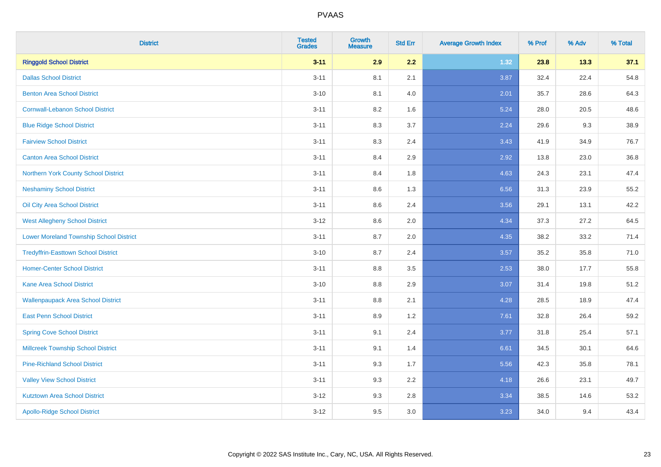| <b>District</b>                                | <b>Tested</b><br><b>Grades</b> | <b>Growth</b><br><b>Measure</b> | <b>Std Err</b> | <b>Average Growth Index</b> | % Prof | % Adv | % Total |
|------------------------------------------------|--------------------------------|---------------------------------|----------------|-----------------------------|--------|-------|---------|
| <b>Ringgold School District</b>                | $3 - 11$                       | 2.9                             | 2.2            | 1.32                        | 23.8   | 13.3  | 37.1    |
| <b>Dallas School District</b>                  | $3 - 11$                       | 8.1                             | 2.1            | 3.87                        | 32.4   | 22.4  | 54.8    |
| <b>Benton Area School District</b>             | $3 - 10$                       | 8.1                             | 4.0            | 2.01                        | 35.7   | 28.6  | 64.3    |
| <b>Cornwall-Lebanon School District</b>        | $3 - 11$                       | 8.2                             | 1.6            | 5.24                        | 28.0   | 20.5  | 48.6    |
| <b>Blue Ridge School District</b>              | $3 - 11$                       | 8.3                             | 3.7            | 2.24                        | 29.6   | 9.3   | 38.9    |
| <b>Fairview School District</b>                | $3 - 11$                       | 8.3                             | 2.4            | 3.43                        | 41.9   | 34.9  | 76.7    |
| <b>Canton Area School District</b>             | $3 - 11$                       | 8.4                             | 2.9            | 2.92                        | 13.8   | 23.0  | 36.8    |
| Northern York County School District           | $3 - 11$                       | 8.4                             | 1.8            | 4.63                        | 24.3   | 23.1  | 47.4    |
| <b>Neshaminy School District</b>               | $3 - 11$                       | 8.6                             | 1.3            | 6.56                        | 31.3   | 23.9  | 55.2    |
| Oil City Area School District                  | $3 - 11$                       | 8.6                             | 2.4            | 3.56                        | 29.1   | 13.1  | 42.2    |
| <b>West Allegheny School District</b>          | $3 - 12$                       | 8.6                             | 2.0            | 4.34                        | 37.3   | 27.2  | 64.5    |
| <b>Lower Moreland Township School District</b> | $3 - 11$                       | 8.7                             | 2.0            | 4.35                        | 38.2   | 33.2  | 71.4    |
| <b>Tredyffrin-Easttown School District</b>     | $3 - 10$                       | 8.7                             | 2.4            | 3.57                        | 35.2   | 35.8  | 71.0    |
| <b>Homer-Center School District</b>            | $3 - 11$                       | 8.8                             | 3.5            | 2.53                        | 38.0   | 17.7  | 55.8    |
| <b>Kane Area School District</b>               | $3 - 10$                       | 8.8                             | 2.9            | 3.07                        | 31.4   | 19.8  | 51.2    |
| <b>Wallenpaupack Area School District</b>      | $3 - 11$                       | $8.8\,$                         | 2.1            | 4.28                        | 28.5   | 18.9  | 47.4    |
| <b>East Penn School District</b>               | $3 - 11$                       | 8.9                             | 1.2            | 7.61                        | 32.8   | 26.4  | 59.2    |
| <b>Spring Cove School District</b>             | $3 - 11$                       | 9.1                             | 2.4            | 3.77                        | 31.8   | 25.4  | 57.1    |
| <b>Millcreek Township School District</b>      | $3 - 11$                       | 9.1                             | 1.4            | 6.61                        | 34.5   | 30.1  | 64.6    |
| <b>Pine-Richland School District</b>           | $3 - 11$                       | 9.3                             | 1.7            | 5.56                        | 42.3   | 35.8  | 78.1    |
| <b>Valley View School District</b>             | $3 - 11$                       | 9.3                             | 2.2            | 4.18                        | 26.6   | 23.1  | 49.7    |
| <b>Kutztown Area School District</b>           | $3 - 12$                       | 9.3                             | 2.8            | 3.34                        | 38.5   | 14.6  | 53.2    |
| <b>Apollo-Ridge School District</b>            | $3 - 12$                       | 9.5                             | 3.0            | 3.23                        | 34.0   | 9.4   | 43.4    |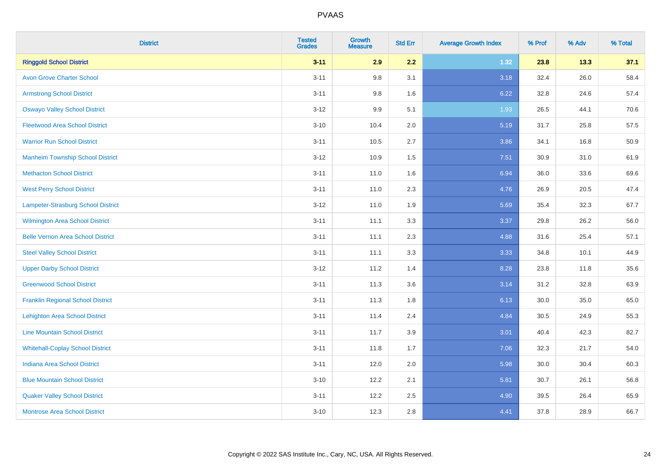| <b>District</b>                          | <b>Tested</b><br><b>Grades</b> | <b>Growth</b><br><b>Measure</b> | <b>Std Err</b> | <b>Average Growth Index</b> | % Prof | % Adv | % Total |
|------------------------------------------|--------------------------------|---------------------------------|----------------|-----------------------------|--------|-------|---------|
| <b>Ringgold School District</b>          | $3 - 11$                       | 2.9                             | 2.2            | 1.32                        | 23.8   | 13.3  | 37.1    |
| <b>Avon Grove Charter School</b>         | $3 - 11$                       | 9.8                             | 3.1            | 3.18                        | 32.4   | 26.0  | 58.4    |
| <b>Armstrong School District</b>         | $3 - 11$                       | 9.8                             | 1.6            | 6.22                        | 32.8   | 24.6  | 57.4    |
| <b>Oswayo Valley School District</b>     | $3 - 12$                       | 9.9                             | 5.1            | 1.93                        | 26.5   | 44.1  | 70.6    |
| <b>Fleetwood Area School District</b>    | $3 - 10$                       | 10.4                            | 2.0            | 5.19                        | 31.7   | 25.8  | 57.5    |
| <b>Warrior Run School District</b>       | $3 - 11$                       | 10.5                            | 2.7            | 3.86                        | 34.1   | 16.8  | 50.9    |
| <b>Manheim Township School District</b>  | $3-12$                         | 10.9                            | 1.5            | 7.51                        | 30.9   | 31.0  | 61.9    |
| <b>Methacton School District</b>         | $3 - 11$                       | 11.0                            | 1.6            | 6.94                        | 36.0   | 33.6  | 69.6    |
| <b>West Perry School District</b>        | $3 - 11$                       | 11.0                            | 2.3            | 4.76                        | 26.9   | 20.5  | 47.4    |
| Lampeter-Strasburg School District       | $3 - 12$                       | 11.0                            | 1.9            | 5.69                        | 35.4   | 32.3  | 67.7    |
| <b>Wilmington Area School District</b>   | $3 - 11$                       | 11.1                            | 3.3            | 3.37                        | 29.8   | 26.2  | 56.0    |
| <b>Belle Vernon Area School District</b> | $3 - 11$                       | 11.1                            | 2.3            | 4.88                        | 31.6   | 25.4  | 57.1    |
| <b>Steel Valley School District</b>      | $3 - 11$                       | 11.1                            | 3.3            | 3.33                        | 34.8   | 10.1  | 44.9    |
| <b>Upper Darby School District</b>       | $3 - 12$                       | 11.2                            | 1.4            | 8.28                        | 23.8   | 11.8  | 35.6    |
| <b>Greenwood School District</b>         | $3 - 11$                       | 11.3                            | 3.6            | 3.14                        | 31.2   | 32.8  | 63.9    |
| <b>Franklin Regional School District</b> | $3 - 11$                       | 11.3                            | 1.8            | 6.13                        | 30.0   | 35.0  | 65.0    |
| <b>Lehighton Area School District</b>    | $3 - 11$                       | 11.4                            | 2.4            | 4.84                        | 30.5   | 24.9  | 55.3    |
| <b>Line Mountain School District</b>     | $3 - 11$                       | 11.7                            | 3.9            | 3.01                        | 40.4   | 42.3  | 82.7    |
| <b>Whitehall-Coplay School District</b>  | $3 - 11$                       | 11.8                            | 1.7            | 7.06                        | 32.3   | 21.7  | 54.0    |
| <b>Indiana Area School District</b>      | $3 - 11$                       | 12.0                            | 2.0            | 5.98                        | 30.0   | 30.4  | 60.3    |
| <b>Blue Mountain School District</b>     | $3 - 10$                       | 12.2                            | 2.1            | 5.81                        | 30.7   | 26.1  | 56.8    |
| <b>Quaker Valley School District</b>     | $3 - 11$                       | 12.2                            | 2.5            | 4.90                        | 39.5   | 26.4  | 65.9    |
| <b>Montrose Area School District</b>     | $3 - 10$                       | 12.3                            | 2.8            | 4.41                        | 37.8   | 28.9  | 66.7    |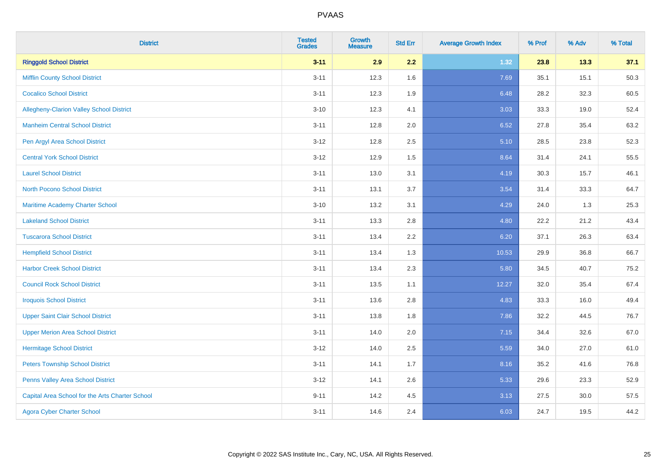| <b>District</b>                                 | <b>Tested</b><br><b>Grades</b> | <b>Growth</b><br><b>Measure</b> | <b>Std Err</b> | <b>Average Growth Index</b> | % Prof | % Adv | % Total |
|-------------------------------------------------|--------------------------------|---------------------------------|----------------|-----------------------------|--------|-------|---------|
| <b>Ringgold School District</b>                 | $3 - 11$                       | 2.9                             | 2.2            | 1.32                        | 23.8   | 13.3  | 37.1    |
| <b>Mifflin County School District</b>           | $3 - 11$                       | 12.3                            | 1.6            | 7.69                        | 35.1   | 15.1  | 50.3    |
| <b>Cocalico School District</b>                 | $3 - 11$                       | 12.3                            | 1.9            | 6.48                        | 28.2   | 32.3  | 60.5    |
| Allegheny-Clarion Valley School District        | $3 - 10$                       | 12.3                            | 4.1            | 3.03                        | 33.3   | 19.0  | 52.4    |
| <b>Manheim Central School District</b>          | $3 - 11$                       | 12.8                            | 2.0            | 6.52                        | 27.8   | 35.4  | 63.2    |
| Pen Argyl Area School District                  | $3 - 12$                       | 12.8                            | 2.5            | 5.10                        | 28.5   | 23.8  | 52.3    |
| <b>Central York School District</b>             | $3 - 12$                       | 12.9                            | 1.5            | 8.64                        | 31.4   | 24.1  | 55.5    |
| <b>Laurel School District</b>                   | $3 - 11$                       | 13.0                            | 3.1            | 4.19                        | 30.3   | 15.7  | 46.1    |
| <b>North Pocono School District</b>             | $3 - 11$                       | 13.1                            | 3.7            | 3.54                        | 31.4   | 33.3  | 64.7    |
| <b>Maritime Academy Charter School</b>          | $3 - 10$                       | 13.2                            | 3.1            | 4.29                        | 24.0   | 1.3   | 25.3    |
| <b>Lakeland School District</b>                 | $3 - 11$                       | 13.3                            | 2.8            | 4.80                        | 22.2   | 21.2  | 43.4    |
| <b>Tuscarora School District</b>                | $3 - 11$                       | 13.4                            | 2.2            | 6.20                        | 37.1   | 26.3  | 63.4    |
| <b>Hempfield School District</b>                | $3 - 11$                       | 13.4                            | 1.3            | 10.53                       | 29.9   | 36.8  | 66.7    |
| <b>Harbor Creek School District</b>             | $3 - 11$                       | 13.4                            | 2.3            | 5.80                        | 34.5   | 40.7  | 75.2    |
| <b>Council Rock School District</b>             | $3 - 11$                       | 13.5                            | 1.1            | 12.27                       | 32.0   | 35.4  | 67.4    |
| <b>Iroquois School District</b>                 | $3 - 11$                       | 13.6                            | 2.8            | 4.83                        | 33.3   | 16.0  | 49.4    |
| <b>Upper Saint Clair School District</b>        | $3 - 11$                       | 13.8                            | 1.8            | 7.86                        | 32.2   | 44.5  | 76.7    |
| <b>Upper Merion Area School District</b>        | $3 - 11$                       | 14.0                            | 2.0            | 7.15                        | 34.4   | 32.6  | 67.0    |
| <b>Hermitage School District</b>                | $3 - 12$                       | 14.0                            | 2.5            | 5.59                        | 34.0   | 27.0  | 61.0    |
| <b>Peters Township School District</b>          | $3 - 11$                       | 14.1                            | 1.7            | 8.16                        | 35.2   | 41.6  | 76.8    |
| Penns Valley Area School District               | $3 - 12$                       | 14.1                            | 2.6            | 5.33                        | 29.6   | 23.3  | 52.9    |
| Capital Area School for the Arts Charter School | $9 - 11$                       | 14.2                            | 4.5            | 3.13                        | 27.5   | 30.0  | 57.5    |
| <b>Agora Cyber Charter School</b>               | $3 - 11$                       | 14.6                            | 2.4            | 6.03                        | 24.7   | 19.5  | 44.2    |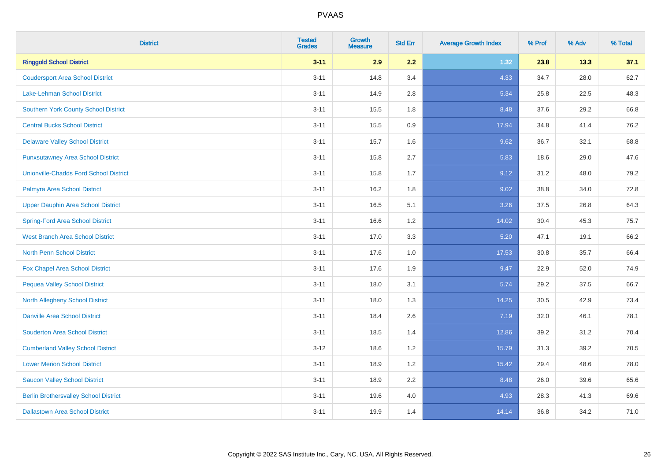| <b>District</b>                               | <b>Tested</b><br><b>Grades</b> | <b>Growth</b><br><b>Measure</b> | <b>Std Err</b> | <b>Average Growth Index</b> | % Prof | % Adv | % Total |
|-----------------------------------------------|--------------------------------|---------------------------------|----------------|-----------------------------|--------|-------|---------|
| <b>Ringgold School District</b>               | $3 - 11$                       | 2.9                             | 2.2            | 1.32                        | 23.8   | 13.3  | 37.1    |
| <b>Coudersport Area School District</b>       | $3 - 11$                       | 14.8                            | 3.4            | 4.33                        | 34.7   | 28.0  | 62.7    |
| <b>Lake-Lehman School District</b>            | $3 - 11$                       | 14.9                            | 2.8            | 5.34                        | 25.8   | 22.5  | 48.3    |
| <b>Southern York County School District</b>   | $3 - 11$                       | 15.5                            | 1.8            | 8.48                        | 37.6   | 29.2  | 66.8    |
| <b>Central Bucks School District</b>          | $3 - 11$                       | 15.5                            | 0.9            | 17.94                       | 34.8   | 41.4  | 76.2    |
| <b>Delaware Valley School District</b>        | $3 - 11$                       | 15.7                            | 1.6            | 9.62                        | 36.7   | 32.1  | 68.8    |
| <b>Punxsutawney Area School District</b>      | $3 - 11$                       | 15.8                            | 2.7            | 5.83                        | 18.6   | 29.0  | 47.6    |
| <b>Unionville-Chadds Ford School District</b> | $3 - 11$                       | 15.8                            | 1.7            | 9.12                        | 31.2   | 48.0  | 79.2    |
| Palmyra Area School District                  | $3 - 11$                       | 16.2                            | 1.8            | 9.02                        | 38.8   | 34.0  | 72.8    |
| <b>Upper Dauphin Area School District</b>     | $3 - 11$                       | 16.5                            | 5.1            | 3.26                        | 37.5   | 26.8  | 64.3    |
| <b>Spring-Ford Area School District</b>       | $3 - 11$                       | 16.6                            | 1.2            | 14.02                       | 30.4   | 45.3  | 75.7    |
| <b>West Branch Area School District</b>       | $3 - 11$                       | 17.0                            | 3.3            | 5.20                        | 47.1   | 19.1  | 66.2    |
| North Penn School District                    | $3 - 11$                       | 17.6                            | 1.0            | 17.53                       | 30.8   | 35.7  | 66.4    |
| <b>Fox Chapel Area School District</b>        | $3 - 11$                       | 17.6                            | 1.9            | 9.47                        | 22.9   | 52.0  | 74.9    |
| <b>Pequea Valley School District</b>          | $3 - 11$                       | 18.0                            | 3.1            | 5.74                        | 29.2   | 37.5  | 66.7    |
| North Allegheny School District               | $3 - 11$                       | 18.0                            | 1.3            | 14.25                       | 30.5   | 42.9  | 73.4    |
| <b>Danville Area School District</b>          | $3 - 11$                       | 18.4                            | 2.6            | 7.19                        | 32.0   | 46.1  | 78.1    |
| <b>Souderton Area School District</b>         | $3 - 11$                       | 18.5                            | 1.4            | 12.86                       | 39.2   | 31.2  | 70.4    |
| <b>Cumberland Valley School District</b>      | $3 - 12$                       | 18.6                            | 1.2            | 15.79                       | 31.3   | 39.2  | 70.5    |
| <b>Lower Merion School District</b>           | $3 - 11$                       | 18.9                            | 1.2            | 15.42                       | 29.4   | 48.6  | 78.0    |
| <b>Saucon Valley School District</b>          | $3 - 11$                       | 18.9                            | 2.2            | 8.48                        | 26.0   | 39.6  | 65.6    |
| <b>Berlin Brothersvalley School District</b>  | $3 - 11$                       | 19.6                            | 4.0            | 4.93                        | 28.3   | 41.3  | 69.6    |
| <b>Dallastown Area School District</b>        | $3 - 11$                       | 19.9                            | 1.4            | 14.14                       | 36.8   | 34.2  | 71.0    |